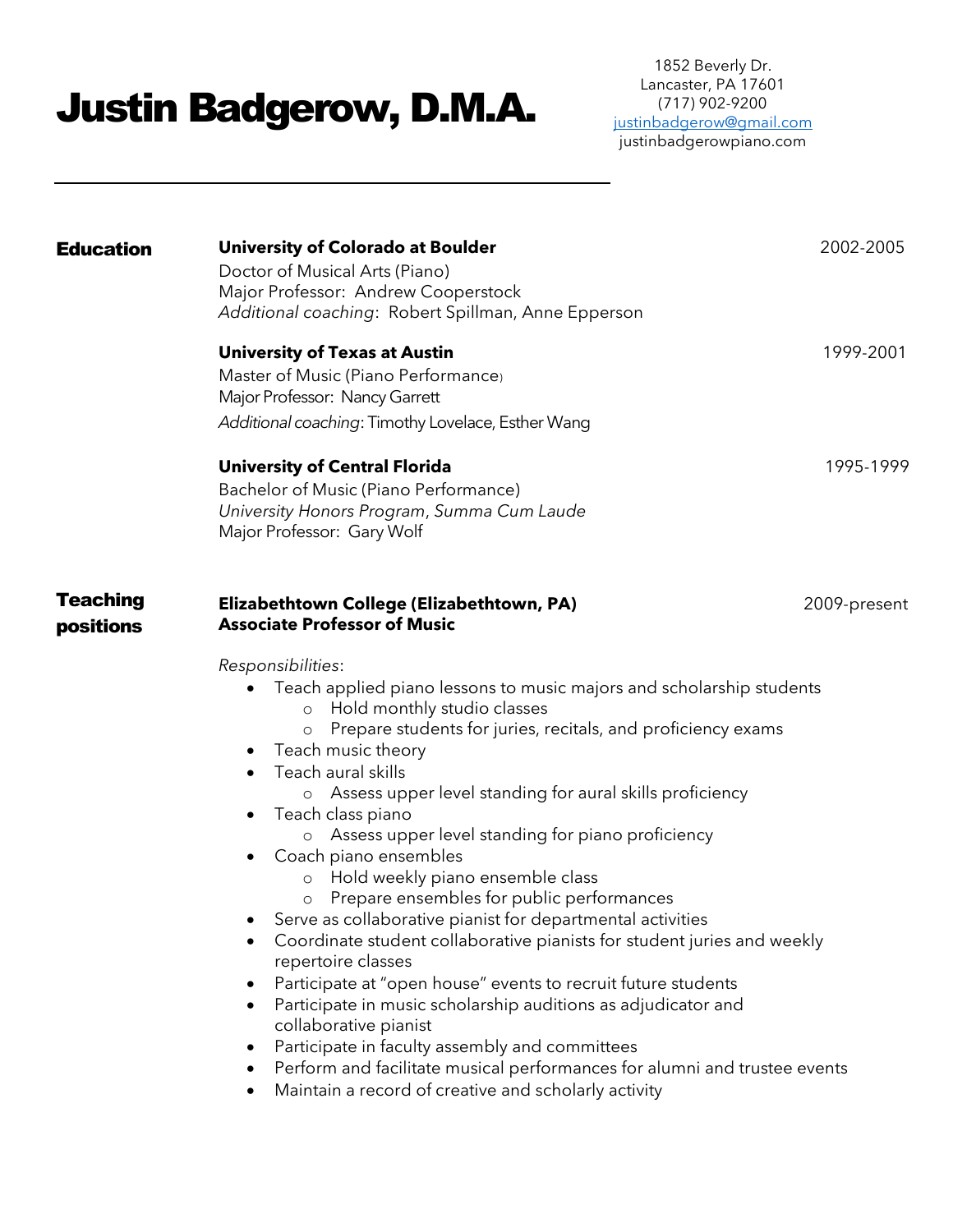# Justin Badgerow, D.M.A.

| <b>Education</b>      | <b>University of Colorado at Boulder</b><br>Doctor of Musical Arts (Piano)<br>Major Professor: Andrew Cooperstock<br>Additional coaching: Robert Spillman, Anne Epperson                                                                                                                                                                                                                                                                                                                                                                                                                                                                                                                                                                                                                                                                                                                                                                                                                                                                                               | 2002-2005    |
|-----------------------|------------------------------------------------------------------------------------------------------------------------------------------------------------------------------------------------------------------------------------------------------------------------------------------------------------------------------------------------------------------------------------------------------------------------------------------------------------------------------------------------------------------------------------------------------------------------------------------------------------------------------------------------------------------------------------------------------------------------------------------------------------------------------------------------------------------------------------------------------------------------------------------------------------------------------------------------------------------------------------------------------------------------------------------------------------------------|--------------|
|                       | <b>University of Texas at Austin</b><br>Master of Music (Piano Performance)<br>Major Professor: Nancy Garrett<br>Additional coaching: Timothy Lovelace, Esther Wang                                                                                                                                                                                                                                                                                                                                                                                                                                                                                                                                                                                                                                                                                                                                                                                                                                                                                                    | 1999-2001    |
|                       | <b>University of Central Florida</b><br>Bachelor of Music (Piano Performance)<br>University Honors Program, Summa Cum Laude<br>Major Professor: Gary Wolf                                                                                                                                                                                                                                                                                                                                                                                                                                                                                                                                                                                                                                                                                                                                                                                                                                                                                                              | 1995-1999    |
| Teaching<br>positions | Elizabethtown College (Elizabethtown, PA)<br><b>Associate Professor of Music</b>                                                                                                                                                                                                                                                                                                                                                                                                                                                                                                                                                                                                                                                                                                                                                                                                                                                                                                                                                                                       | 2009-present |
|                       | Responsibilities:<br>Teach applied piano lessons to music majors and scholarship students<br>Hold monthly studio classes<br>$\circ$<br>Prepare students for juries, recitals, and proficiency exams<br>Teach music theory<br>$\bullet$<br>Teach aural skills<br>o Assess upper level standing for aural skills proficiency<br>Teach class piano<br>$\bullet$<br>o Assess upper level standing for piano proficiency<br>Coach piano ensembles<br>Hold weekly piano ensemble class<br>$\circ$<br>Prepare ensembles for public performances<br>Serve as collaborative pianist for departmental activities<br>Coordinate student collaborative pianists for student juries and weekly<br>repertoire classes<br>Participate at "open house" events to recruit future students<br>$\bullet$<br>Participate in music scholarship auditions as adjudicator and<br>collaborative pianist<br>Participate in faculty assembly and committees<br>Perform and facilitate musical performances for alumni and trustee events<br>Maintain a record of creative and scholarly activity |              |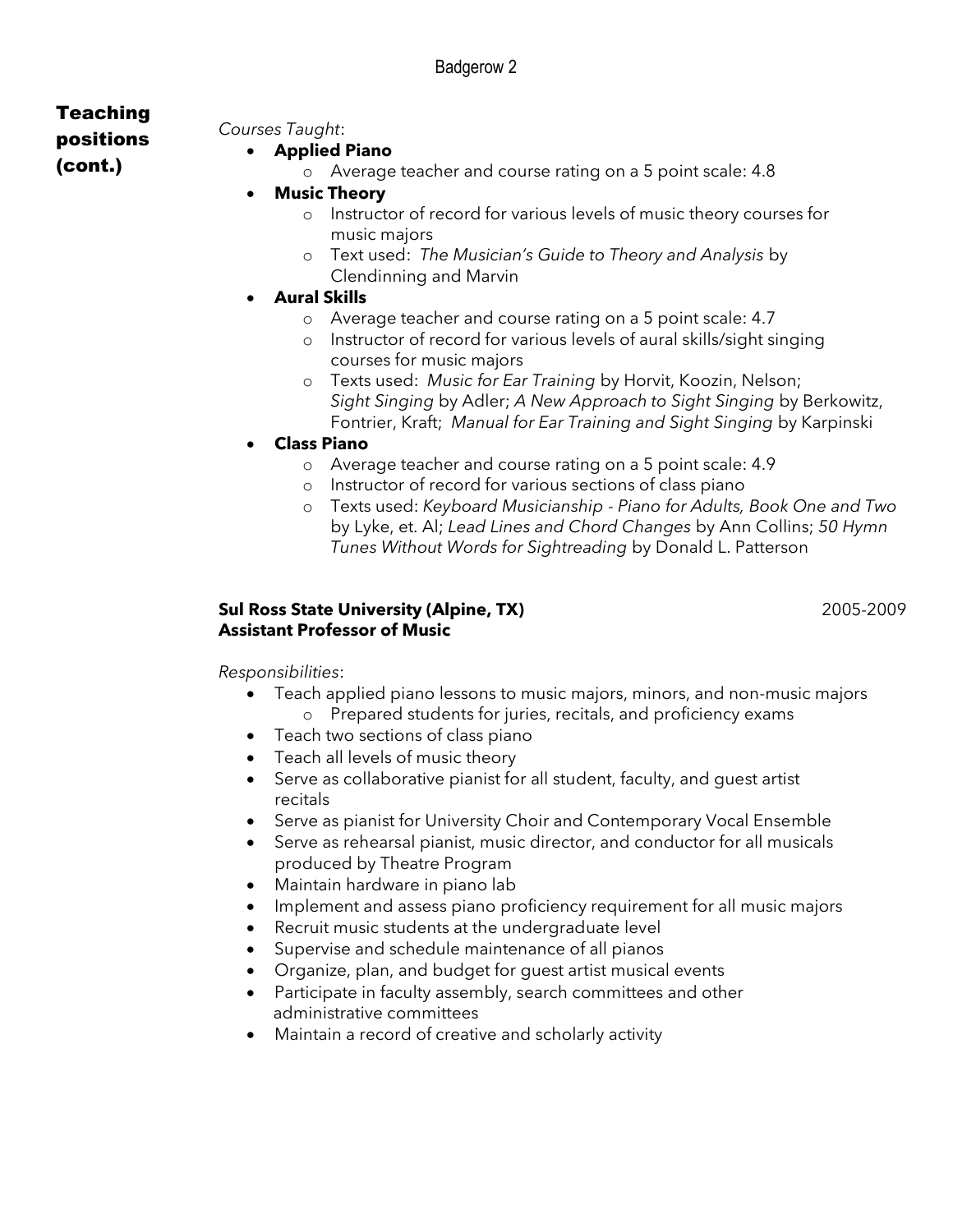# Teaching

#### positions (cont.)

#### • **Applied Piano**

*Courses Taught*:

- o Average teacher and course rating on a 5 point scale: 4.8
- **Music Theory**
	- o Instructor of record for various levels of music theory courses for music majors
	- o Text used: *The Musician's Guide to Theory and Analysis* by Clendinning and Marvin
- **Aural Skills**
	- o Average teacher and course rating on a 5 point scale: 4.7
	- o Instructor of record for various levels of aural skills/sight singing courses for music majors
	- o Texts used: *Music for Ear Training* by Horvit, Koozin, Nelson; *Sight Singing* by Adler; *A New Approach to Sight Singing* by Berkowitz, Fontrier, Kraft; *Manual for Ear Training and Sight Singing* by Karpinski
- **Class Piano**
	- o Average teacher and course rating on a 5 point scale: 4.9
	- o Instructor of record for various sections of class piano
	- o Texts used: *Keyboard Musicianship - Piano for Adults, Book One and Two*  by Lyke, et. Al; *Lead Lines and Chord Changes* by Ann Collins; *50 Hymn Tunes Without Words for Sightreading* by Donald L. Patterson

#### **Sul Ross State University (Alpine, TX)** 2005-2009 **Assistant Professor of Music**

*Responsibilities*:

- Teach applied piano lessons to music majors, minors, and non-music majors o Prepared students for juries, recitals, and proficiency exams
- Teach two sections of class piano
- Teach all levels of music theory
- Serve as collaborative pianist for all student, faculty, and guest artist recitals
- Serve as pianist for University Choir and Contemporary Vocal Ensemble
- Serve as rehearsal pianist, music director, and conductor for all musicals produced by Theatre Program
- Maintain hardware in piano lab
- Implement and assess piano proficiency requirement for all music majors
- Recruit music students at the undergraduate level
- Supervise and schedule maintenance of all pianos
- Organize, plan, and budget for guest artist musical events
- Participate in faculty assembly, search committees and other administrative committees
- Maintain a record of creative and scholarly activity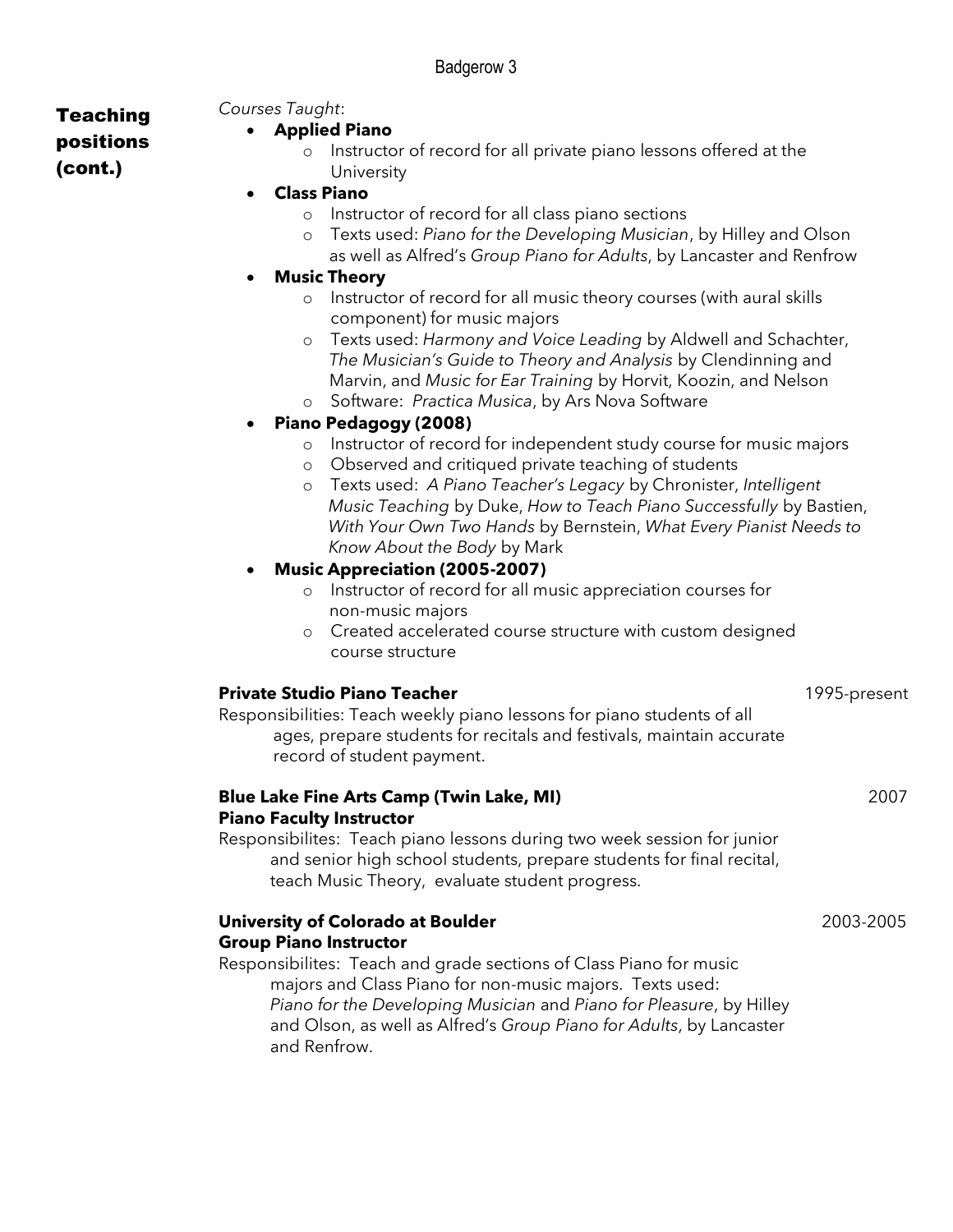Teaching positions (cont.)

# *Courses Taught*:

- **Applied Piano**
	- o Instructor of record for all private piano lessons offered at the University
- **Class Piano**
	- o Instructor of record for all class piano sections
	- o Texts used: *Piano for the Developing Musician*, by Hilley and Olson
	- as well as Alfred's *Group Piano for Adults*, by Lancaster and Renfrow

#### • **Music Theory**

- o Instructor of record for all music theory courses (with aural skills component) for music majors
- o Texts used: *Harmony and Voice Leading* by Aldwell and Schachter, *The Musician's Guide to Theory and Analysis* by Clendinning and Marvin, and *Music for Ear Training* by Horvit, Koozin, and Nelson
- o Software: *Practica Musica*, by Ars Nova Software

#### • **Piano Pedagogy (2008)**

- o Instructor of record for independent study course for music majors
- o Observed and critiqued private teaching of students
- o Texts used: *A Piano Teacher's Legacy* by Chronister, *Intelligent Music Teaching* by Duke, *How to Teach Piano Successfully* by Bastien,  *With Your Own Two Hands* by Bernstein, *What Every Pianist Needs to Know About the Body* by Mark

#### • **Music Appreciation (2005-2007)**

- o Instructor of record for all music appreciation courses for non-music majors
- o Created accelerated course structure with custom designed course structure

#### **Private Studio Piano Teacher** 1995-present

Responsibilities: Teach weekly piano lessons for piano students of all ages, prepare students for recitals and festivals, maintain accurate record of student payment.

| <b>Blue Lake Fine Arts Camp (Twin Lake, MI)</b>                         | 2007 |
|-------------------------------------------------------------------------|------|
| <b>Piano Faculty Instructor</b>                                         |      |
| Responsibilites: Teach piano lessons during two week session for junior |      |
| and senior high school students, prepare students for final recital,    |      |
| teach Music Theory, evaluate student progress.                          |      |

#### **University of Colorado at Boulder** 2003-2005 **Group Piano Instructor**

Responsibilites: Teach and grade sections of Class Piano for music majors and Class Piano for non-music majors. Texts used: *Piano for the Developing Musician* and *Piano for Pleasure*, by Hilley and Olson, as well as Alfred's *Group Piano for Adults*, by Lancaster and Renfrow.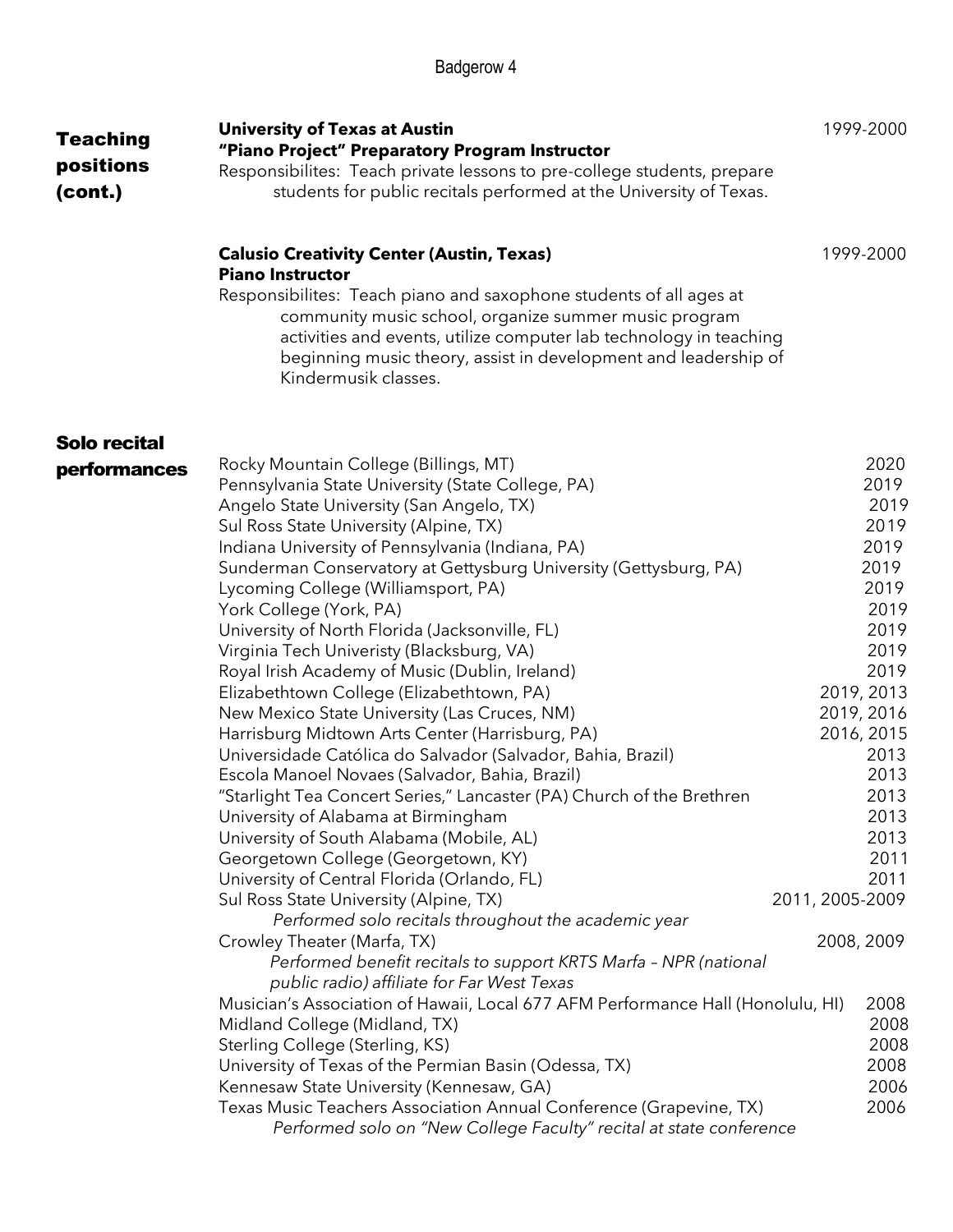| <b>Teaching</b><br>positions | <b>University of Texas at Austin</b><br>"Piano Project" Preparatory Program Instructor<br>Responsibilites: Teach private lessons to pre-college students, prepare                                                                                                                            | 1999-2000       |
|------------------------------|----------------------------------------------------------------------------------------------------------------------------------------------------------------------------------------------------------------------------------------------------------------------------------------------|-----------------|
| (cont.)                      | students for public recitals performed at the University of Texas.                                                                                                                                                                                                                           |                 |
|                              | <b>Calusio Creativity Center (Austin, Texas)</b><br><b>Piano Instructor</b>                                                                                                                                                                                                                  | 1999-2000       |
|                              | Responsibilites: Teach piano and saxophone students of all ages at<br>community music school, organize summer music program<br>activities and events, utilize computer lab technology in teaching<br>beginning music theory, assist in development and leadership of<br>Kindermusik classes. |                 |
| <b>Solo recital</b>          |                                                                                                                                                                                                                                                                                              |                 |
| performances                 | Rocky Mountain College (Billings, MT)                                                                                                                                                                                                                                                        | 2020            |
|                              | Pennsylvania State University (State College, PA)                                                                                                                                                                                                                                            | 2019            |
|                              | Angelo State University (San Angelo, TX)                                                                                                                                                                                                                                                     | 2019            |
|                              | Sul Ross State University (Alpine, TX)                                                                                                                                                                                                                                                       | 2019            |
|                              | Indiana University of Pennsylvania (Indiana, PA)                                                                                                                                                                                                                                             | 2019            |
|                              | Sunderman Conservatory at Gettysburg University (Gettysburg, PA)                                                                                                                                                                                                                             | 2019<br>2019    |
|                              | Lycoming College (Williamsport, PA)                                                                                                                                                                                                                                                          | 2019            |
|                              | York College (York, PA)                                                                                                                                                                                                                                                                      | 2019            |
|                              | University of North Florida (Jacksonville, FL)                                                                                                                                                                                                                                               | 2019            |
|                              | Virginia Tech Univeristy (Blacksburg, VA)                                                                                                                                                                                                                                                    | 2019            |
|                              | Royal Irish Academy of Music (Dublin, Ireland)                                                                                                                                                                                                                                               |                 |
|                              | Elizabethtown College (Elizabethtown, PA)                                                                                                                                                                                                                                                    | 2019, 2013      |
|                              | New Mexico State University (Las Cruces, NM)                                                                                                                                                                                                                                                 | 2019, 2016      |
|                              | Harrisburg Midtown Arts Center (Harrisburg, PA)                                                                                                                                                                                                                                              | 2016, 2015      |
|                              | Universidade Católica do Salvador (Salvador, Bahia, Brazil)                                                                                                                                                                                                                                  | 2013<br>2013    |
|                              | Escola Manoel Novaes (Salvador, Bahia, Brazil)                                                                                                                                                                                                                                               |                 |
|                              | "Starlight Tea Concert Series," Lancaster (PA) Church of the Brethren                                                                                                                                                                                                                        | 2013            |
|                              | University of Alabama at Birmingham                                                                                                                                                                                                                                                          | 2013            |
|                              | University of South Alabama (Mobile, AL)                                                                                                                                                                                                                                                     | 2013            |
|                              | Georgetown College (Georgetown, KY)                                                                                                                                                                                                                                                          | 2011            |
|                              | University of Central Florida (Orlando, FL)                                                                                                                                                                                                                                                  | 2011            |
|                              | Sul Ross State University (Alpine, TX)                                                                                                                                                                                                                                                       | 2011, 2005-2009 |
|                              | Performed solo recitals throughout the academic year                                                                                                                                                                                                                                         |                 |
|                              | Crowley Theater (Marfa, TX)                                                                                                                                                                                                                                                                  | 2008, 2009      |
|                              | Performed benefit recitals to support KRTS Marfa - NPR (national                                                                                                                                                                                                                             |                 |
|                              | public radio) affiliate for Far West Texas                                                                                                                                                                                                                                                   |                 |
|                              | Musician's Association of Hawaii, Local 677 AFM Performance Hall (Honolulu, HI)                                                                                                                                                                                                              | 2008            |
|                              | Midland College (Midland, TX)                                                                                                                                                                                                                                                                | 2008            |
|                              | Sterling College (Sterling, KS)                                                                                                                                                                                                                                                              | 2008            |
|                              | University of Texas of the Permian Basin (Odessa, TX)                                                                                                                                                                                                                                        | 2008            |
|                              | Kennesaw State University (Kennesaw, GA)                                                                                                                                                                                                                                                     | 2006            |
|                              | Texas Music Teachers Association Annual Conference (Grapevine, TX)<br>Performed solo on "New College Faculty" recital at state conference                                                                                                                                                    | 2006            |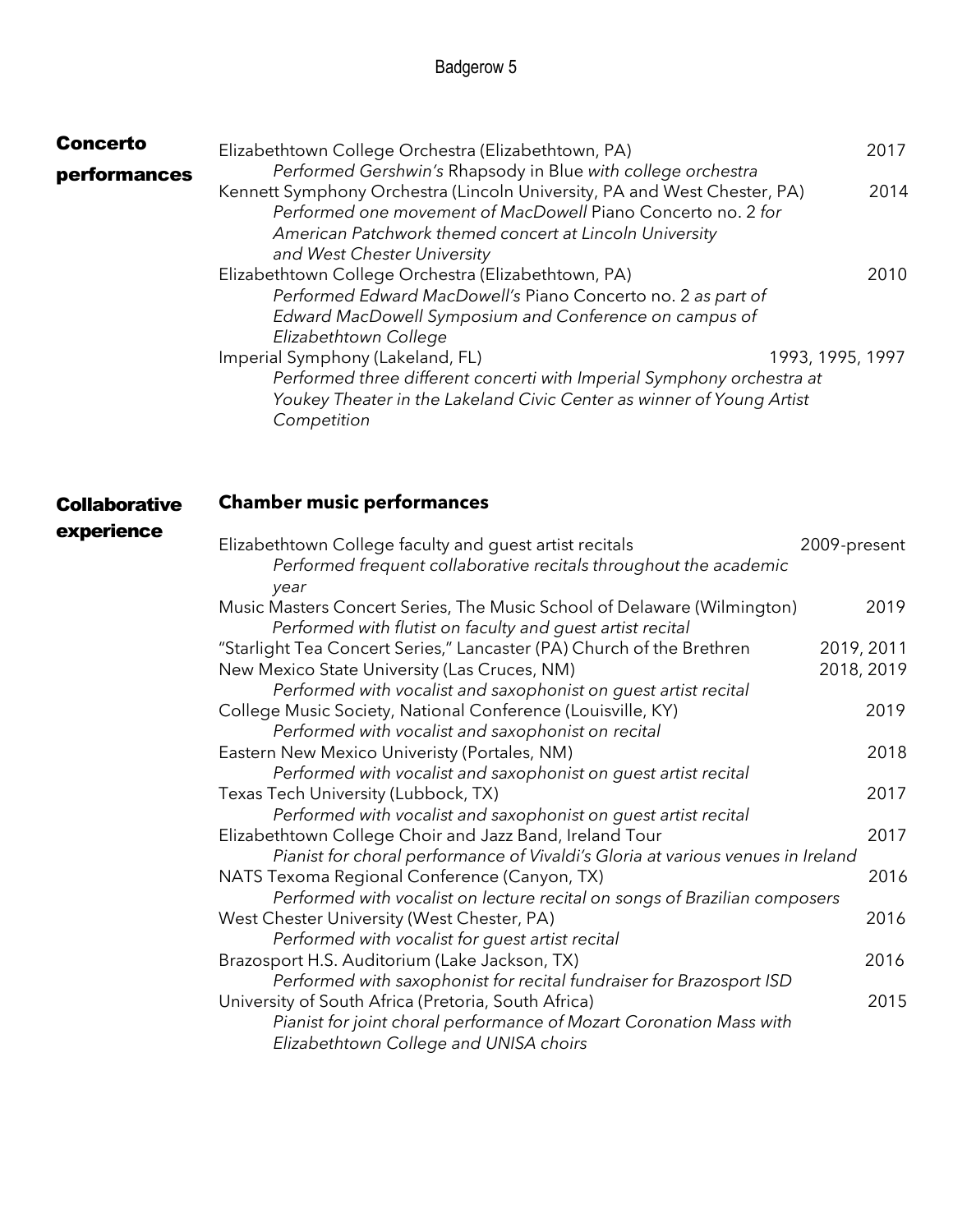| <b>Concerto</b> | Elizabethtown College Orchestra (Elizabethtown, PA)                                                                                                                                                                    | 2017 |
|-----------------|------------------------------------------------------------------------------------------------------------------------------------------------------------------------------------------------------------------------|------|
| performances    | Performed Gershwin's Rhapsody in Blue with college orchestra                                                                                                                                                           |      |
|                 | Kennett Symphony Orchestra (Lincoln University, PA and West Chester, PA)<br>Performed one movement of MacDowell Piano Concerto no. 2 for<br>American Patchwork themed concert at Lincoln University                    | 2014 |
|                 | and West Chester University<br>Elizabethtown College Orchestra (Elizabethtown, PA)                                                                                                                                     | 2010 |
|                 | Performed Edward MacDowell's Piano Concerto no. 2 as part of<br>Edward MacDowell Symposium and Conference on campus of<br>Elizabethtown College                                                                        |      |
|                 | Imperial Symphony (Lakeland, FL)<br>1993, 1995, 1997<br>Performed three different concerti with Imperial Symphony orchestra at<br>Youkey Theater in the Lakeland Civic Center as winner of Young Artist<br>Competition |      |

#### **Collaborative Chamber music performances**

#### experience

| Elizabethtown College faculty and guest artist recitals                         | 2009-present |
|---------------------------------------------------------------------------------|--------------|
| Performed frequent collaborative recitals throughout the academic<br>year       |              |
| Music Masters Concert Series, The Music School of Delaware (Wilmington)         | 2019         |
| Performed with flutist on faculty and guest artist recital                      |              |
| "Starlight Tea Concert Series," Lancaster (PA) Church of the Brethren           | 2019, 2011   |
| New Mexico State University (Las Cruces, NM)                                    | 2018, 2019   |
| Performed with vocalist and saxophonist on quest artist recital                 |              |
| College Music Society, National Conference (Louisville, KY)                     | 2019         |
| Performed with vocalist and saxophonist on recital                              |              |
| Eastern New Mexico Univeristy (Portales, NM)                                    | 2018         |
| Performed with vocalist and saxophonist on guest artist recital                 |              |
| Texas Tech University (Lubbock, TX)                                             | 2017         |
| Performed with vocalist and saxophonist on guest artist recital                 |              |
| Elizabethtown College Choir and Jazz Band, Ireland Tour                         | 2017         |
| Pianist for choral performance of Vivaldi's Gloria at various venues in Ireland |              |
| NATS Texoma Regional Conference (Canyon, TX)                                    | 2016         |
| Performed with vocalist on lecture recital on songs of Brazilian composers      |              |
| West Chester University (West Chester, PA)                                      | 2016         |
| Performed with vocalist for guest artist recital                                |              |
| Brazosport H.S. Auditorium (Lake Jackson, TX)                                   | 2016         |
| Performed with saxophonist for recital fundraiser for Brazosport ISD            |              |
| University of South Africa (Pretoria, South Africa)                             | 2015         |
| Pianist for joint choral performance of Mozart Coronation Mass with             |              |
| Elizabethtown College and UNISA choirs                                          |              |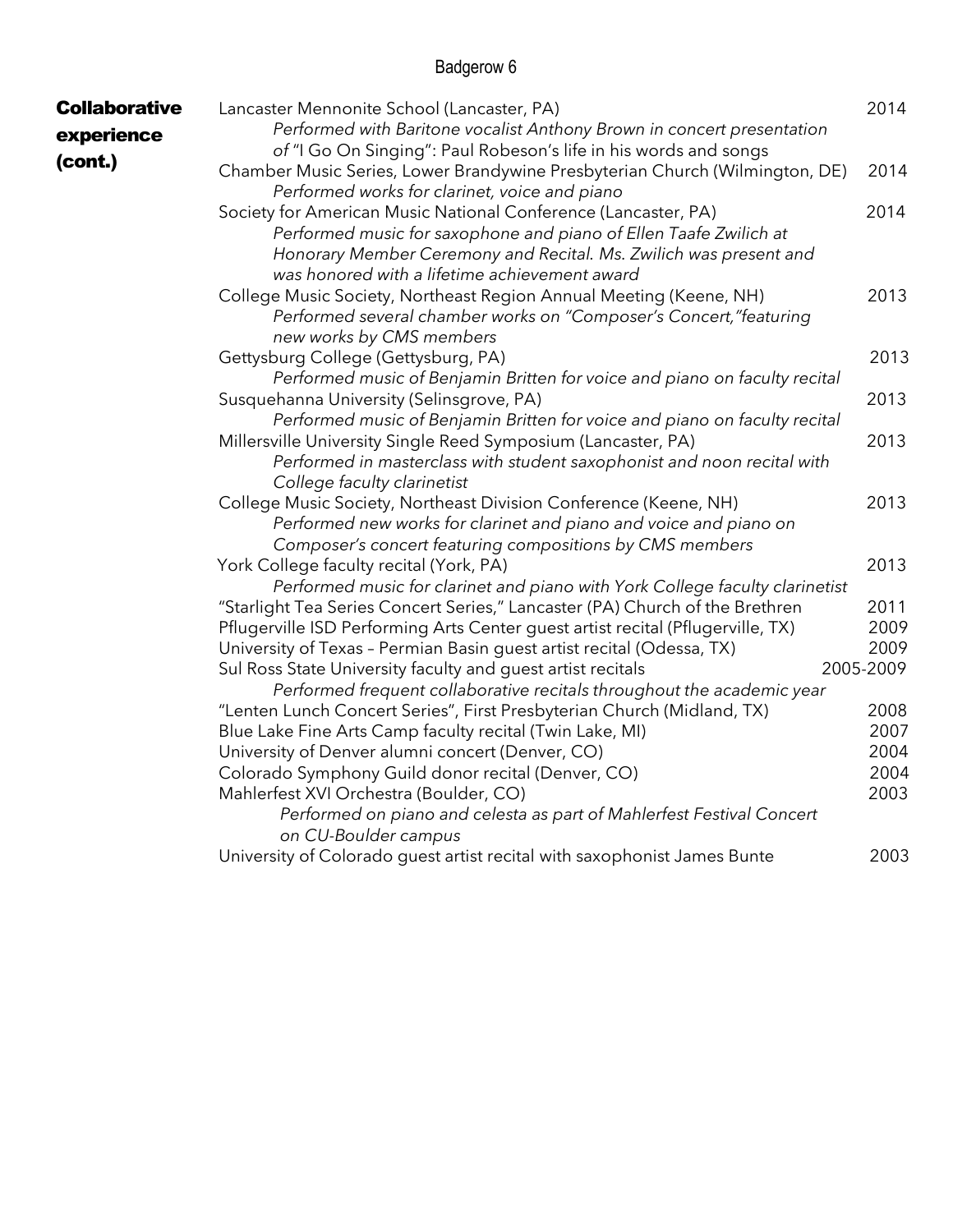| <b>Collaborative</b><br>experience | Lancaster Mennonite School (Lancaster, PA)<br>Performed with Baritone vocalist Anthony Brown in concert presentation<br>of "I Go On Singing": Paul Robeson's life in his words and songs                                                                  | 2014                 |
|------------------------------------|-----------------------------------------------------------------------------------------------------------------------------------------------------------------------------------------------------------------------------------------------------------|----------------------|
| (cont.)                            | Chamber Music Series, Lower Brandywine Presbyterian Church (Wilmington, DE)<br>Performed works for clarinet, voice and piano                                                                                                                              | 2014                 |
|                                    | Society for American Music National Conference (Lancaster, PA)<br>Performed music for saxophone and piano of Ellen Taafe Zwilich at<br>Honorary Member Ceremony and Recital. Ms. Zwilich was present and<br>was honored with a lifetime achievement award | 2014                 |
|                                    | College Music Society, Northeast Region Annual Meeting (Keene, NH)<br>Performed several chamber works on "Composer's Concert, "featuring<br>new works by CMS members                                                                                      | 2013                 |
|                                    | Gettysburg College (Gettysburg, PA)<br>Performed music of Benjamin Britten for voice and piano on faculty recital                                                                                                                                         | 2013                 |
|                                    | Susquehanna University (Selinsgrove, PA)<br>Performed music of Benjamin Britten for voice and piano on faculty recital                                                                                                                                    | 2013                 |
|                                    | Millersville University Single Reed Symposium (Lancaster, PA)<br>Performed in masterclass with student saxophonist and noon recital with<br>College faculty clarinetist                                                                                   | 2013                 |
|                                    | College Music Society, Northeast Division Conference (Keene, NH)<br>Performed new works for clarinet and piano and voice and piano on<br>Composer's concert featuring compositions by CMS members                                                         | 2013                 |
|                                    | York College faculty recital (York, PA)<br>Performed music for clarinet and piano with York College faculty clarinetist                                                                                                                                   | 2013                 |
|                                    | "Starlight Tea Series Concert Series," Lancaster (PA) Church of the Brethren<br>Pflugerville ISD Performing Arts Center guest artist recital (Pflugerville, TX)<br>University of Texas - Permian Basin guest artist recital (Odessa, TX)                  | 2011<br>2009<br>2009 |
|                                    | Sul Ross State University faculty and guest artist recitals<br>Performed frequent collaborative recitals throughout the academic year                                                                                                                     | 2005-2009            |
|                                    | "Lenten Lunch Concert Series", First Presbyterian Church (Midland, TX)<br>Blue Lake Fine Arts Camp faculty recital (Twin Lake, MI)                                                                                                                        | 2008<br>2007         |
|                                    | University of Denver alumni concert (Denver, CO)<br>Colorado Symphony Guild donor recital (Denver, CO)<br>Mahlerfest XVI Orchestra (Boulder, CO)                                                                                                          | 2004<br>2004<br>2003 |
|                                    | Performed on piano and celesta as part of Mahlerfest Festival Concert<br>on CU-Boulder campus<br>University of Colorado guest artist recital with saxophonist James Bunte                                                                                 | 2003                 |
|                                    |                                                                                                                                                                                                                                                           |                      |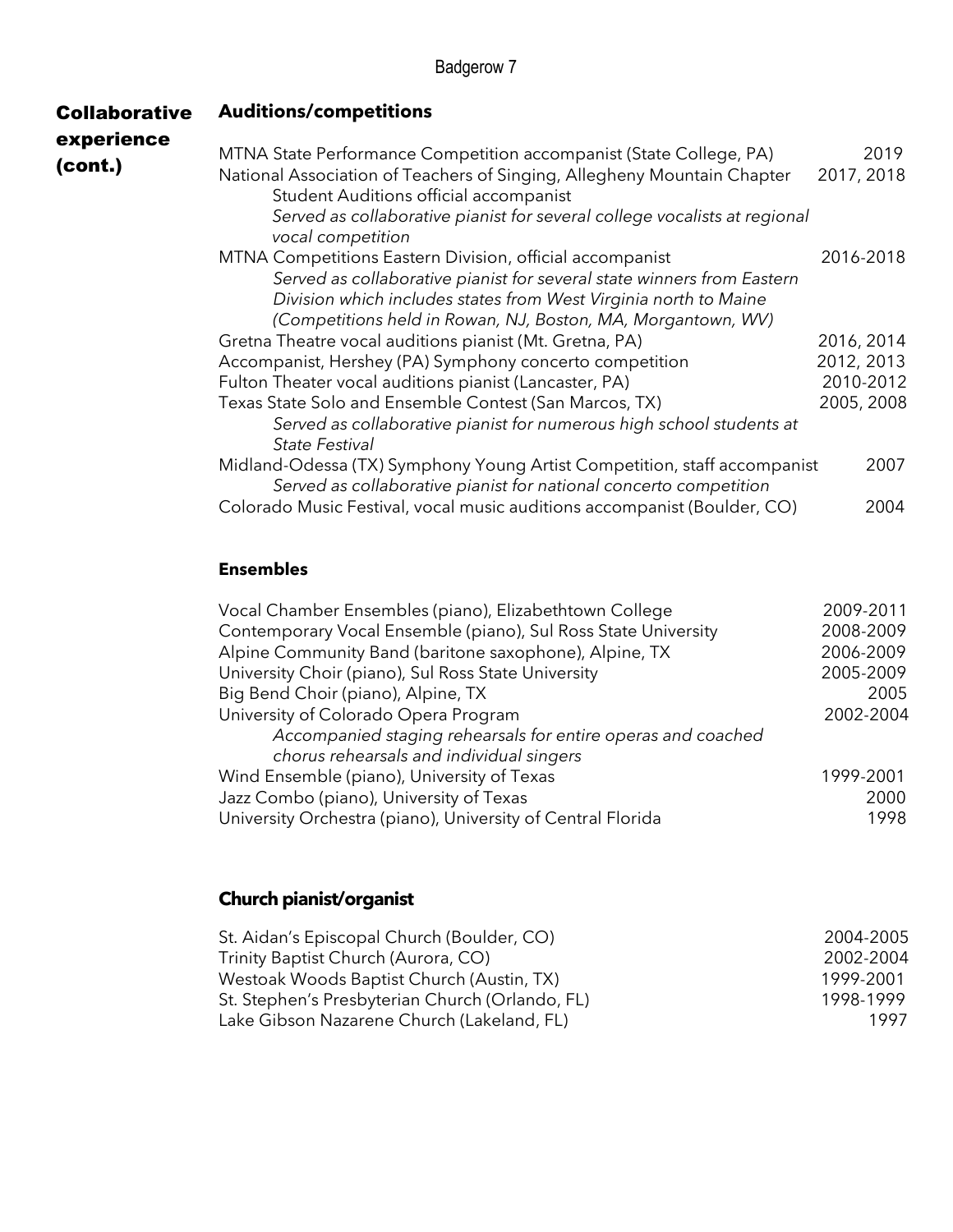| <b>Collaborative</b>  | <b>Auditions/competitions</b>                                                                                                                                                                                                                                          |                    |
|-----------------------|------------------------------------------------------------------------------------------------------------------------------------------------------------------------------------------------------------------------------------------------------------------------|--------------------|
| experience<br>(cont.) | MTNA State Performance Competition accompanist (State College, PA)<br>National Association of Teachers of Singing, Allegheny Mountain Chapter<br>Student Auditions official accompanist                                                                                | 2019<br>2017, 2018 |
|                       | Served as collaborative pianist for several college vocalists at regional<br>vocal competition                                                                                                                                                                         |                    |
|                       | MTNA Competitions Eastern Division, official accompanist<br>Served as collaborative pianist for several state winners from Eastern<br>Division which includes states from West Virginia north to Maine<br>(Competitions held in Rowan, NJ, Boston, MA, Morgantown, WV) | 2016-2018          |
|                       | Gretna Theatre vocal auditions pianist (Mt. Gretna, PA)                                                                                                                                                                                                                | 2016, 2014         |
|                       | Accompanist, Hershey (PA) Symphony concerto competition                                                                                                                                                                                                                | 2012, 2013         |
|                       | Fulton Theater vocal auditions pianist (Lancaster, PA)                                                                                                                                                                                                                 | 2010-2012          |
|                       | Texas State Solo and Ensemble Contest (San Marcos, TX)<br>Served as collaborative pianist for numerous high school students at<br><b>State Festival</b>                                                                                                                | 2005, 2008         |
|                       | Midland-Odessa (TX) Symphony Young Artist Competition, staff accompanist<br>Served as collaborative pianist for national concerto competition                                                                                                                          | 2007               |
|                       | Colorado Music Festival, vocal music auditions accompanist (Boulder, CO)                                                                                                                                                                                               | 2004               |

#### **Ensembles**

| Vocal Chamber Ensembles (piano), Elizabethtown College         | 2009-2011 |
|----------------------------------------------------------------|-----------|
| Contemporary Vocal Ensemble (piano), Sul Ross State University | 2008-2009 |
| Alpine Community Band (baritone saxophone), Alpine, TX         | 2006-2009 |
| University Choir (piano), Sul Ross State University            | 2005-2009 |
| Big Bend Choir (piano), Alpine, TX                             | 2005      |
| University of Colorado Opera Program                           | 2002-2004 |
| Accompanied staging rehearsals for entire operas and coached   |           |
| chorus rehearsals and individual singers                       |           |
| Wind Ensemble (piano), University of Texas                     | 1999-2001 |
| Jazz Combo (piano), University of Texas                        | 2000      |
| University Orchestra (piano), University of Central Florida    | 1998      |

## **Church pianist/organist**

| St. Aidan's Episcopal Church (Boulder, CO)      | 2004-2005 |
|-------------------------------------------------|-----------|
| Trinity Baptist Church (Aurora, CO)             | 2002-2004 |
| Westoak Woods Baptist Church (Austin, TX)       | 1999-2001 |
| St. Stephen's Presbyterian Church (Orlando, FL) | 1998-1999 |
| Lake Gibson Nazarene Church (Lakeland, FL)      | 1997      |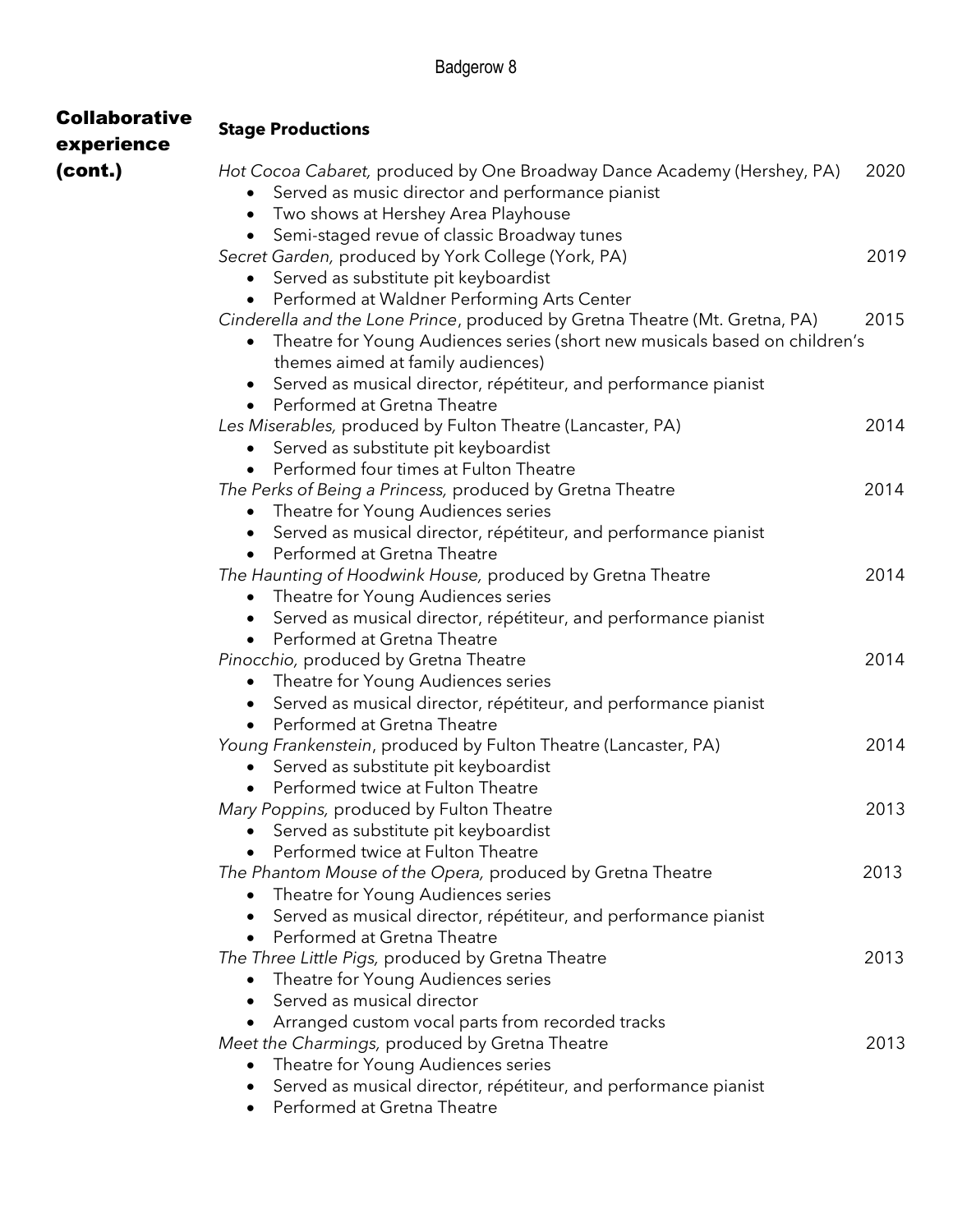| <b>Collaborative</b><br>experience | <b>Stage Productions</b>                                                                                                                                                                                                                                                                                         |      |
|------------------------------------|------------------------------------------------------------------------------------------------------------------------------------------------------------------------------------------------------------------------------------------------------------------------------------------------------------------|------|
| (cont.)                            | Hot Cocoa Cabaret, produced by One Broadway Dance Academy (Hershey, PA)<br>Served as music director and performance pianist<br>Two shows at Hershey Area Playhouse                                                                                                                                               | 2020 |
|                                    | Semi-staged revue of classic Broadway tunes<br>Secret Garden, produced by York College (York, PA)<br>Served as substitute pit keyboardist                                                                                                                                                                        | 2019 |
|                                    | Performed at Waldner Performing Arts Center<br>Cinderella and the Lone Prince, produced by Gretna Theatre (Mt. Gretna, PA)<br>Theatre for Young Audiences series (short new musicals based on children's<br>themes aimed at family audiences)<br>Served as musical director, répétiteur, and performance pianist | 2015 |
|                                    | Performed at Gretna Theatre<br>Les Miserables, produced by Fulton Theatre (Lancaster, PA)<br>Served as substitute pit keyboardist                                                                                                                                                                                | 2014 |
|                                    | Performed four times at Fulton Theatre<br>The Perks of Being a Princess, produced by Gretna Theatre<br>Theatre for Young Audiences series<br>$\bullet$                                                                                                                                                           | 2014 |
|                                    | Served as musical director, répétiteur, and performance pianist<br>Performed at Gretna Theatre<br>$\bullet$<br>The Haunting of Hoodwink House, produced by Gretna Theatre<br>Theatre for Young Audiences series                                                                                                  | 2014 |
|                                    | Served as musical director, répétiteur, and performance pianist<br>$\bullet$<br>Performed at Gretna Theatre<br>$\bullet$<br>Pinocchio, produced by Gretna Theatre<br>Theatre for Young Audiences series<br>٠                                                                                                     | 2014 |
|                                    | Served as musical director, répétiteur, and performance pianist<br>Performed at Gretna Theatre<br>Young Frankenstein, produced by Fulton Theatre (Lancaster, PA)<br>Served as substitute pit keyboardist                                                                                                         | 2014 |
|                                    | Performed twice at Fulton Theatre<br>$\bullet$<br>Mary Poppins, produced by Fulton Theatre<br>Served as substitute pit keyboardist                                                                                                                                                                               | 2013 |
|                                    | Performed twice at Fulton Theatre<br>The Phantom Mouse of the Opera, produced by Gretna Theatre<br>Theatre for Young Audiences series                                                                                                                                                                            | 2013 |
|                                    | Served as musical director, répétiteur, and performance pianist<br>Performed at Gretna Theatre<br>$\bullet$<br>The Three Little Pigs, produced by Gretna Theatre<br>Theatre for Young Audiences series                                                                                                           | 2013 |
|                                    | Served as musical director<br>Arranged custom vocal parts from recorded tracks<br>$\bullet$<br>Meet the Charmings, produced by Gretna Theatre<br>Theatre for Young Audiences series                                                                                                                              | 2013 |
|                                    | Served as musical director, répétiteur, and performance pianist<br>Performed at Gretna Theatre                                                                                                                                                                                                                   |      |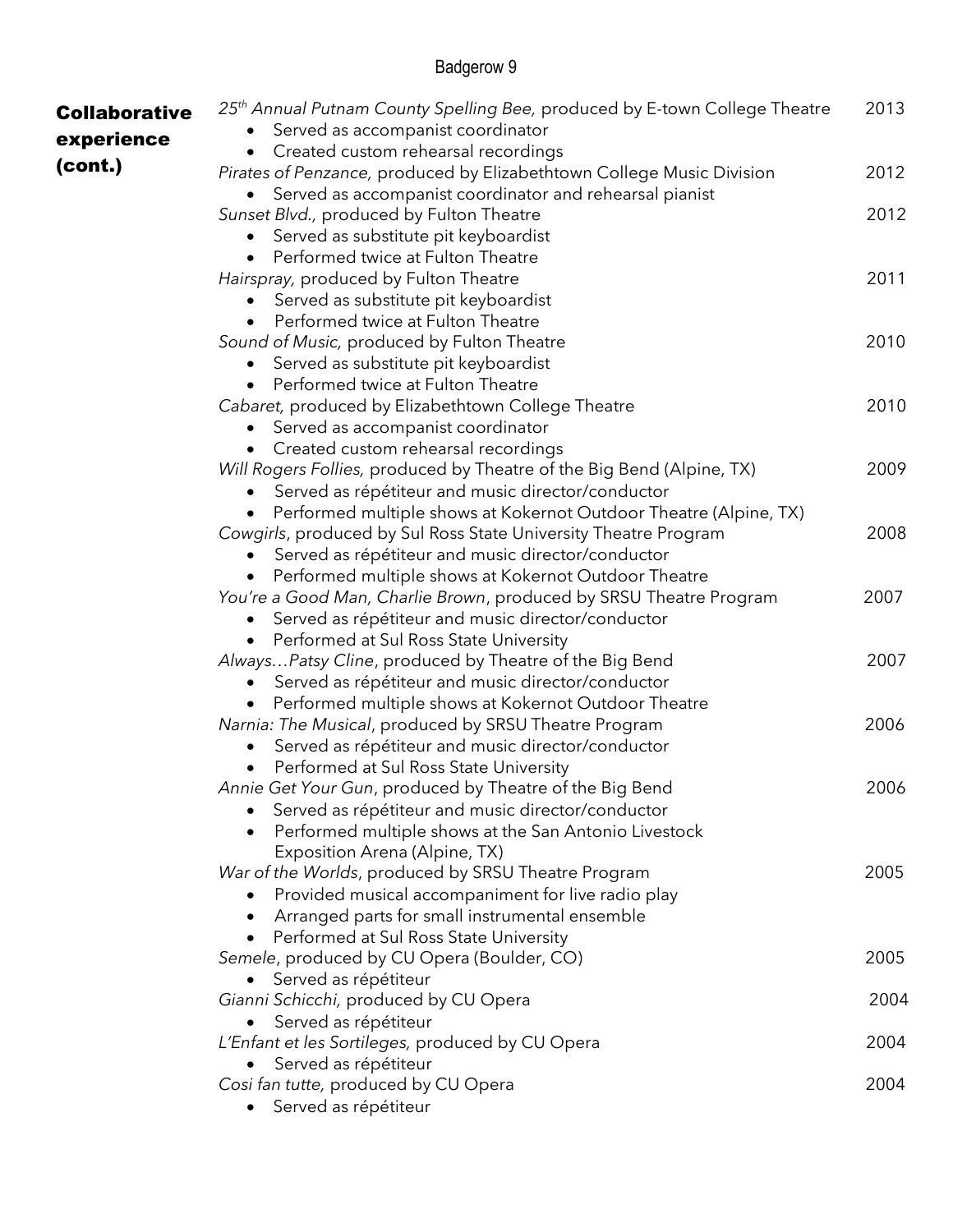| <b>Collaborative</b> | 25 <sup>th</sup> Annual Putnam County Spelling Bee, produced by E-town College Theatre | 2013 |
|----------------------|----------------------------------------------------------------------------------------|------|
| experience           | Served as accompanist coordinator                                                      |      |
|                      | Created custom rehearsal recordings<br>$\bullet$                                       |      |
| (cont.)              | Pirates of Penzance, produced by Elizabethtown College Music Division                  | 2012 |
|                      | Served as accompanist coordinator and rehearsal pianist<br>$\bullet$                   |      |
|                      | Sunset Blvd., produced by Fulton Theatre                                               | 2012 |
|                      | Served as substitute pit keyboardist                                                   |      |
|                      | Performed twice at Fulton Theatre                                                      |      |
|                      | Hairspray, produced by Fulton Theatre                                                  | 2011 |
|                      | Served as substitute pit keyboardist                                                   |      |
|                      | Performed twice at Fulton Theatre                                                      |      |
|                      | Sound of Music, produced by Fulton Theatre                                             | 2010 |
|                      | Served as substitute pit keyboardist<br>$\bullet$                                      |      |
|                      | Performed twice at Fulton Theatre                                                      |      |
|                      | Cabaret, produced by Elizabethtown College Theatre                                     | 2010 |
|                      | Served as accompanist coordinator                                                      |      |
|                      | • Created custom rehearsal recordings                                                  |      |
|                      | Will Rogers Follies, produced by Theatre of the Big Bend (Alpine, TX)                  | 2009 |
|                      | Served as répétiteur and music director/conductor                                      |      |
|                      | Performed multiple shows at Kokernot Outdoor Theatre (Alpine, TX)                      |      |
|                      | Cowgirls, produced by Sul Ross State University Theatre Program                        | 2008 |
|                      | Served as répétiteur and music director/conductor                                      |      |
|                      | Performed multiple shows at Kokernot Outdoor Theatre                                   |      |
|                      | You're a Good Man, Charlie Brown, produced by SRSU Theatre Program                     | 2007 |
|                      | Served as répétiteur and music director/conductor                                      |      |
|                      | Performed at Sul Ross State University<br>$\bullet$                                    |      |
|                      | AlwaysPatsy Cline, produced by Theatre of the Big Bend                                 | 2007 |
|                      | Served as répétiteur and music director/conductor                                      |      |
|                      | Performed multiple shows at Kokernot Outdoor Theatre                                   |      |
|                      | Narnia: The Musical, produced by SRSU Theatre Program                                  | 2006 |
|                      | Served as répétiteur and music director/conductor<br>$\bullet$                         |      |
|                      | Performed at Sul Ross State University                                                 |      |
|                      | Annie Get Your Gun, produced by Theatre of the Big Bend                                | 2006 |
|                      | Served as répétiteur and music director/conductor                                      |      |
|                      | Performed multiple shows at the San Antonio Livestock                                  |      |
|                      | Exposition Arena (Alpine, TX)                                                          |      |
|                      | War of the Worlds, produced by SRSU Theatre Program                                    | 2005 |
|                      | Provided musical accompaniment for live radio play                                     |      |
|                      | Arranged parts for small instrumental ensemble                                         |      |
|                      | Performed at Sul Ross State University                                                 |      |
|                      | Semele, produced by CU Opera (Boulder, CO)                                             | 2005 |
|                      | Served as répétiteur<br>$\bullet$                                                      |      |
|                      | Gianni Schicchi, produced by CU Opera                                                  | 2004 |
|                      | Served as répétiteur                                                                   |      |
|                      | L'Enfant et les Sortileges, produced by CU Opera                                       | 2004 |
|                      | Served as répétiteur<br>$\bullet$                                                      |      |
|                      | Cosi fan tutte, produced by CU Opera                                                   | 2004 |
|                      | Served as répétiteur                                                                   |      |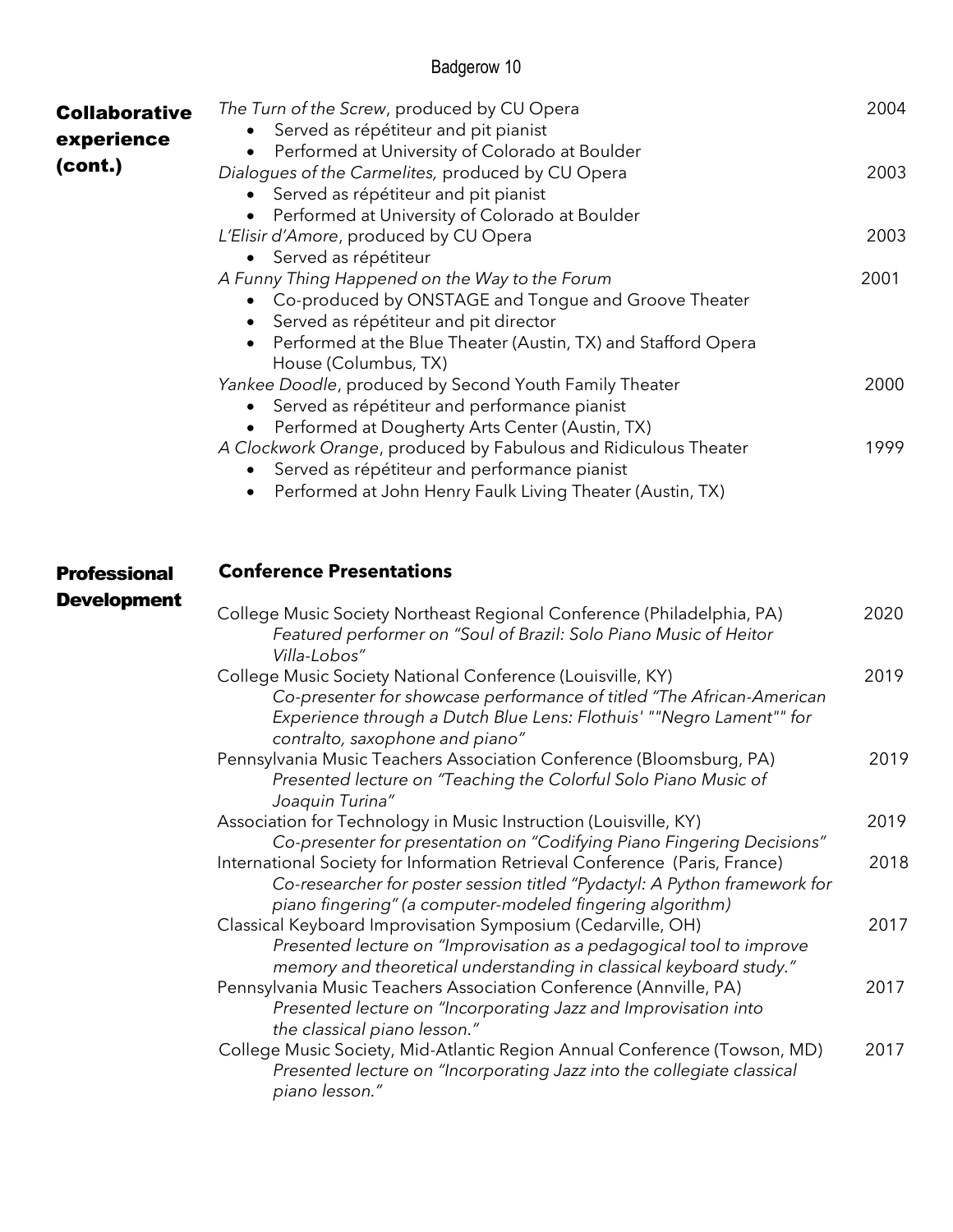| <b>Collaborative</b><br>experience | The Turn of the Screw, produced by CU Opera<br>Served as répétiteur and pit pianist<br>Performed at University of Colorado at Boulder                                                                                                          | 2004 |
|------------------------------------|------------------------------------------------------------------------------------------------------------------------------------------------------------------------------------------------------------------------------------------------|------|
| (cont.)                            | Dialogues of the Carmelites, produced by CU Opera<br>Served as répétiteur and pit pianist<br>Performed at University of Colorado at Boulder                                                                                                    | 2003 |
|                                    | L'Elisir d'Amore, produced by CU Opera<br>Served as répétiteur                                                                                                                                                                                 | 2003 |
|                                    | A Funny Thing Happened on the Way to the Forum<br>Co-produced by ONSTAGE and Tongue and Groove Theater<br>Served as répétiteur and pit director<br>Performed at the Blue Theater (Austin, TX) and Stafford Opera<br>House (Columbus, TX)       | 2001 |
|                                    | Yankee Doodle, produced by Second Youth Family Theater<br>Served as répétiteur and performance pianist<br>Performed at Dougherty Arts Center (Austin, TX)                                                                                      | 2000 |
|                                    | A Clockwork Orange, produced by Fabulous and Ridiculous Theater<br>Served as répétiteur and performance pianist<br>Performed at John Henry Faulk Living Theater (Austin, TX)<br>$\bullet$                                                      | 1999 |
| <b>Professional</b>                | <b>Conference Presentations</b>                                                                                                                                                                                                                |      |
| <b>Development</b>                 | College Music Society Northeast Regional Conference (Philadelphia, PA)<br>Featured performer on "Soul of Brazil: Solo Piano Music of Heitor<br>Villa-Lobos"                                                                                    | 2020 |
|                                    | College Music Society National Conference (Louisville, KY)<br>Co-presenter for showcase performance of titled "The African-American<br>Experience through a Dutch Blue Lens: Flothuis' ""Negro Lament"" for<br>contralto, saxophone and piano" | 2019 |
|                                    | Pennsylvania Music Teachers Association Conference (Bloomsburg, PA)<br>Presented lecture on "Teaching the Colorful Solo Piano Music of<br>Joaquin Turina"                                                                                      | 2019 |
|                                    | Association for Technology in Music Instruction (Louisville, KY)<br>Co-presenter for presentation on "Codifying Piano Fingering Decisions"                                                                                                     | 2019 |
|                                    | International Society for Information Retrieval Conference (Paris, France)<br>Co-researcher for poster session titled "Pydactyl: A Python framework for<br>piano fingering" (a computer-modeled fingering algorithm)                           | 2018 |
|                                    | Classical Keyboard Improvisation Symposium (Cedarville, OH)<br>Presented lecture on "Improvisation as a pedagogical tool to improve<br>memory and theoretical understanding in classical keyboard study."                                      | 2017 |
|                                    | Pennsylvania Music Teachers Association Conference (Annville, PA)<br>Presented lecture on "Incorporating Jazz and Improvisation into<br>the classical piano lesson."                                                                           | 2017 |
|                                    | College Music Society, Mid-Atlantic Region Annual Conference (Towson, MD)<br>Presented lecture on "Incorporating Jazz into the collegiate classical<br>piano lesson."                                                                          | 2017 |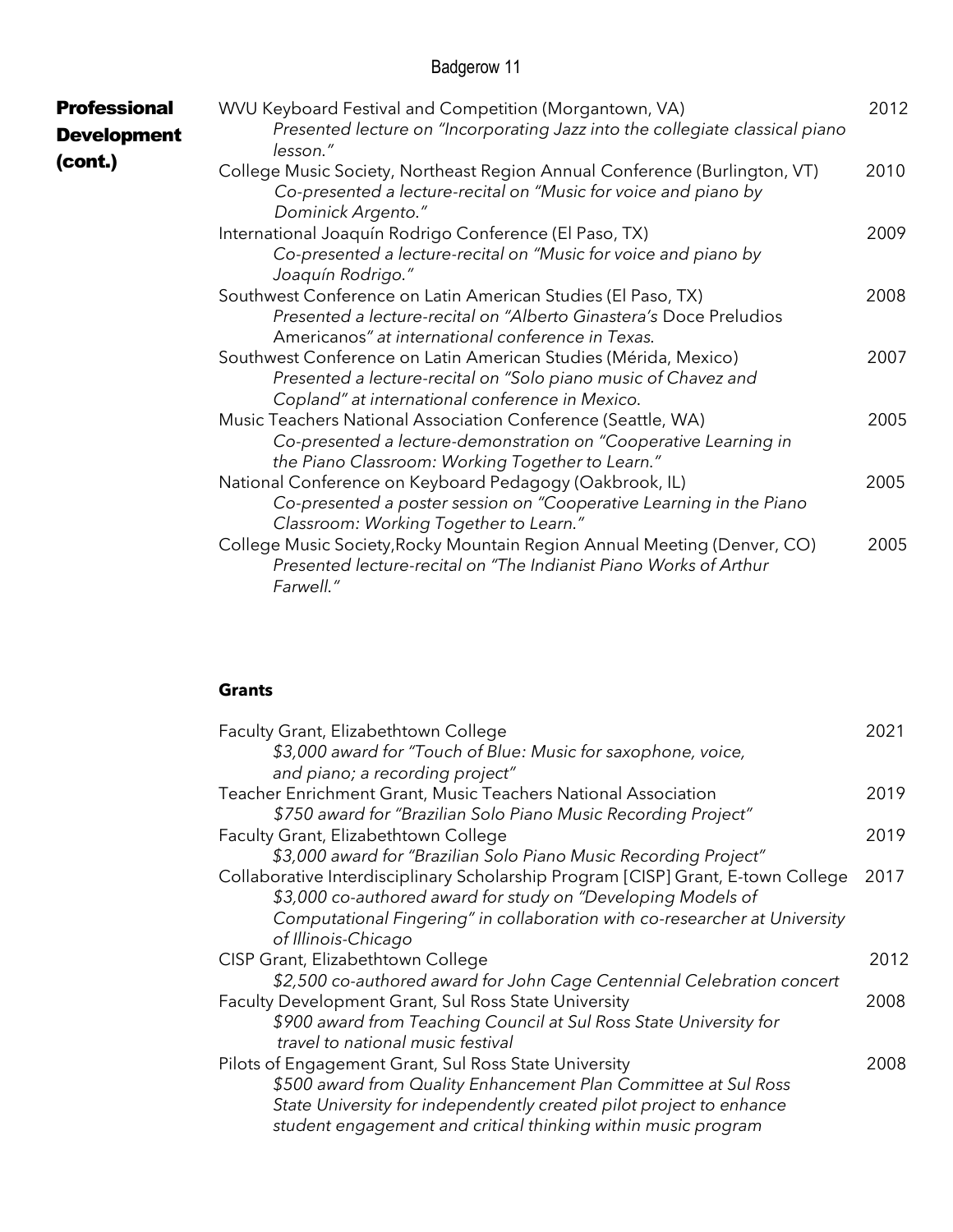| <b>Professional</b><br><b>Development</b><br>(cont.) | WVU Keyboard Festival and Competition (Morgantown, VA)<br>Presented lecture on "Incorporating Jazz into the collegiate classical piano<br>lesson."                                      | 2012 |
|------------------------------------------------------|-----------------------------------------------------------------------------------------------------------------------------------------------------------------------------------------|------|
|                                                      | College Music Society, Northeast Region Annual Conference (Burlington, VT)<br>Co-presented a lecture-recital on "Music for voice and piano by<br>Dominick Argento."                     | 2010 |
|                                                      | International Joaquín Rodrigo Conference (El Paso, TX)<br>Co-presented a lecture-recital on "Music for voice and piano by<br>Joaquín Rodrigo."                                          | 2009 |
|                                                      | Southwest Conference on Latin American Studies (El Paso, TX)<br>Presented a lecture-recital on "Alberto Ginastera's Doce Preludios<br>Americanos" at international conference in Texas. | 2008 |
|                                                      | Southwest Conference on Latin American Studies (Mérida, Mexico)<br>Presented a lecture-recital on "Solo piano music of Chavez and<br>Copland" at international conference in Mexico.    | 2007 |
|                                                      | Music Teachers National Association Conference (Seattle, WA)<br>Co-presented a lecture-demonstration on "Cooperative Learning in<br>the Piano Classroom: Working Together to Learn."    | 2005 |
|                                                      | National Conference on Keyboard Pedagogy (Oakbrook, IL)<br>Co-presented a poster session on "Cooperative Learning in the Piano<br>Classroom: Working Together to Learn."                | 2005 |
|                                                      | College Music Society, Rocky Mountain Region Annual Meeting (Denver, CO)<br>Presented lecture-recital on "The Indianist Piano Works of Arthur<br>Farwell."                              | 2005 |

#### **Grants**

| Faculty Grant, Elizabethtown College                                             | 2021 |
|----------------------------------------------------------------------------------|------|
| \$3,000 award for "Touch of Blue: Music for saxophone, voice,                    |      |
| and piano; a recording project"                                                  |      |
| Teacher Enrichment Grant, Music Teachers National Association                    | 2019 |
| \$750 award for "Brazilian Solo Piano Music Recording Project"                   |      |
| Faculty Grant, Elizabethtown College                                             | 2019 |
| \$3,000 award for "Brazilian Solo Piano Music Recording Project"                 |      |
| Collaborative Interdisciplinary Scholarship Program [CISP] Grant, E-town College | 2017 |
| \$3,000 co-authored award for study on "Developing Models of                     |      |
| Computational Fingering" in collaboration with co-researcher at University       |      |
| of Illinois-Chicago                                                              |      |
| CISP Grant, Elizabethtown College                                                | 2012 |
| \$2,500 co-authored award for John Cage Centennial Celebration concert           |      |
| Faculty Development Grant, Sul Ross State University                             | 2008 |
| \$900 award from Teaching Council at Sul Ross State University for               |      |
| travel to national music festival                                                |      |
| Pilots of Engagement Grant, Sul Ross State University                            | 2008 |
| \$500 award from Quality Enhancement Plan Committee at Sul Ross                  |      |
| State University for independently created pilot project to enhance              |      |
| student engagement and critical thinking within music program                    |      |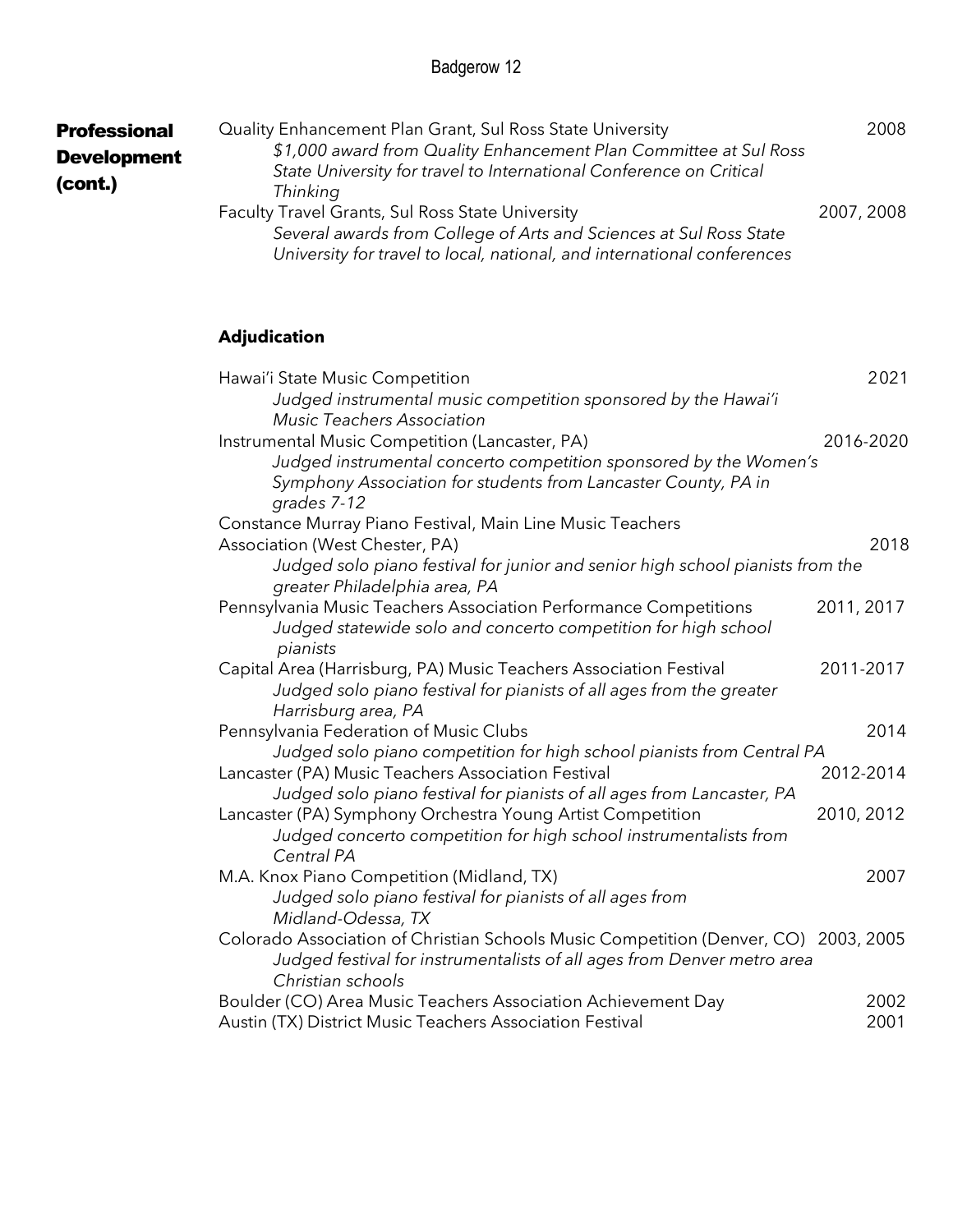| <b>Professional</b><br><b>Development</b><br>(cont.) | Quality Enhancement Plan Grant, Sul Ross State University<br>\$1,000 award from Quality Enhancement Plan Committee at Sul Ross<br>State University for travel to International Conference on Critical<br>Thinking |            | 2008 |
|------------------------------------------------------|-------------------------------------------------------------------------------------------------------------------------------------------------------------------------------------------------------------------|------------|------|
|                                                      | <b>Faculty Travel Grants, Sul Ross State University</b><br>Several awards from College of Arts and Sciences at Sul Ross State<br>University for travel to local, national, and international conferences          | 2007, 2008 |      |

## **Adjudication**

| Hawai'i State Music Competition                                                     | 2021       |
|-------------------------------------------------------------------------------------|------------|
| Judged instrumental music competition sponsored by the Hawai'i                      |            |
| <b>Music Teachers Association</b>                                                   |            |
| Instrumental Music Competition (Lancaster, PA)                                      | 2016-2020  |
| Judged instrumental concerto competition sponsored by the Women's                   |            |
| Symphony Association for students from Lancaster County, PA in                      |            |
| grades 7-12                                                                         |            |
| Constance Murray Piano Festival, Main Line Music Teachers                           |            |
| Association (West Chester, PA)                                                      | 2018       |
| Judged solo piano festival for junior and senior high school pianists from the      |            |
| greater Philadelphia area, PA                                                       |            |
| Pennsylvania Music Teachers Association Performance Competitions                    | 2011, 2017 |
| Judged statewide solo and concerto competition for high school                      |            |
| pianists                                                                            |            |
| Capital Area (Harrisburg, PA) Music Teachers Association Festival                   | 2011-2017  |
| Judged solo piano festival for pianists of all ages from the greater                |            |
| Harrisburg area, PA                                                                 |            |
| Pennsylvania Federation of Music Clubs                                              | 2014       |
| Judged solo piano competition for high school pianists from Central PA              |            |
| Lancaster (PA) Music Teachers Association Festival                                  | 2012-2014  |
| Judged solo piano festival for pianists of all ages from Lancaster, PA              |            |
| Lancaster (PA) Symphony Orchestra Young Artist Competition                          | 2010, 2012 |
| Judged concerto competition for high school instrumentalists from                   |            |
| Central PA                                                                          |            |
| M.A. Knox Piano Competition (Midland, TX)                                           | 2007       |
| Judged solo piano festival for pianists of all ages from                            |            |
| Midland-Odessa, TX                                                                  |            |
| Colorado Association of Christian Schools Music Competition (Denver, CO) 2003, 2005 |            |
| Judged festival for instrumentalists of all ages from Denver metro area             |            |
| Christian schools                                                                   |            |
| Boulder (CO) Area Music Teachers Association Achievement Day                        | 2002       |
| Austin (TX) District Music Teachers Association Festival                            | 2001       |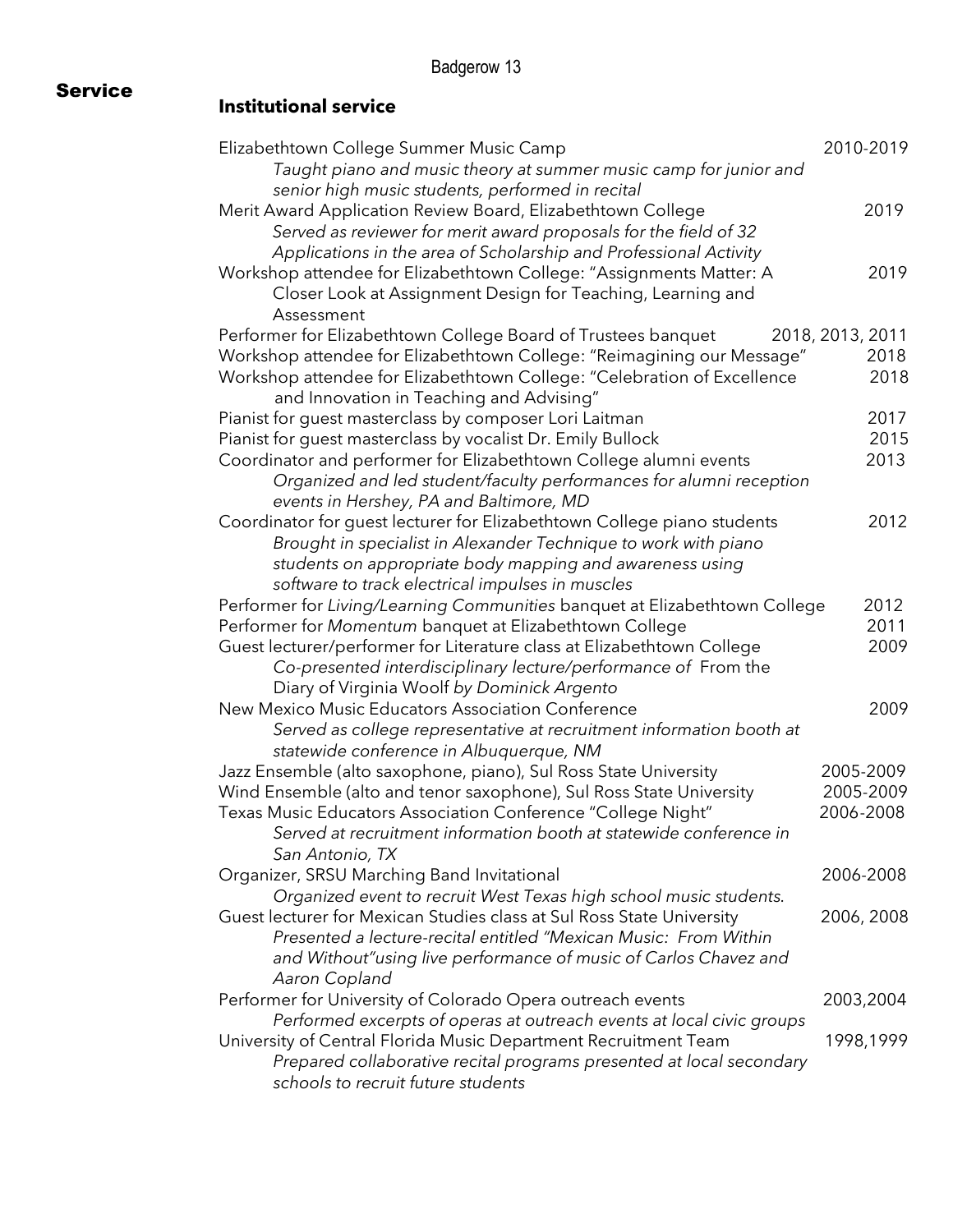#### Service **Institutional service**

| Elizabethtown College Summer Music Camp                                                                                                    | 2010-2019        |
|--------------------------------------------------------------------------------------------------------------------------------------------|------------------|
| Taught piano and music theory at summer music camp for junior and                                                                          |                  |
| senior high music students, performed in recital                                                                                           |                  |
| Merit Award Application Review Board, Elizabethtown College                                                                                | 2019             |
| Served as reviewer for merit award proposals for the field of 32                                                                           |                  |
| Applications in the area of Scholarship and Professional Activity                                                                          |                  |
| Workshop attendee for Elizabethtown College: "Assignments Matter: A                                                                        | 2019             |
| Closer Look at Assignment Design for Teaching, Learning and                                                                                |                  |
| Assessment                                                                                                                                 |                  |
| Performer for Elizabethtown College Board of Trustees banquet                                                                              | 2018, 2013, 2011 |
| Workshop attendee for Elizabethtown College: "Reimagining our Message"                                                                     | 2018             |
| Workshop attendee for Elizabethtown College: "Celebration of Excellence                                                                    | 2018             |
| and Innovation in Teaching and Advising"                                                                                                   |                  |
| Pianist for guest masterclass by composer Lori Laitman                                                                                     | 2017             |
| Pianist for guest masterclass by vocalist Dr. Emily Bullock                                                                                | 2015             |
| Coordinator and performer for Elizabethtown College alumni events                                                                          | 2013             |
| Organized and led student/faculty performances for alumni reception                                                                        |                  |
|                                                                                                                                            |                  |
| events in Hershey, PA and Baltimore, MD                                                                                                    | 2012             |
| Coordinator for guest lecturer for Elizabethtown College piano students<br>Brought in specialist in Alexander Technique to work with piano |                  |
|                                                                                                                                            |                  |
| students on appropriate body mapping and awareness using                                                                                   |                  |
| software to track electrical impulses in muscles                                                                                           |                  |
| Performer for Living/Learning Communities banquet at Elizabethtown College                                                                 | 2012             |
| Performer for Momentum banquet at Elizabethtown College                                                                                    | 2011             |
| Guest lecturer/performer for Literature class at Elizabethtown College                                                                     | 2009             |
| Co-presented interdisciplinary lecture/performance of From the                                                                             |                  |
| Diary of Virginia Woolf by Dominick Argento                                                                                                |                  |
| New Mexico Music Educators Association Conference                                                                                          | 2009             |
| Served as college representative at recruitment information booth at                                                                       |                  |
| statewide conference in Albuquerque, NM                                                                                                    |                  |
| Jazz Ensemble (alto saxophone, piano), Sul Ross State University                                                                           | 2005-2009        |
| Wind Ensemble (alto and tenor saxophone), Sul Ross State University                                                                        | 2005-2009        |
| Texas Music Educators Association Conference "College Night"                                                                               | 2006-2008        |
| Served at recruitment information booth at statewide conference in                                                                         |                  |
| San Antonio, TX                                                                                                                            |                  |
| Organizer, SRSU Marching Band Invitational                                                                                                 | 2006-2008        |
| Organized event to recruit West Texas high school music students.                                                                          |                  |
| Guest lecturer for Mexican Studies class at Sul Ross State University                                                                      | 2006, 2008       |
| Presented a lecture-recital entitled "Mexican Music: From Within                                                                           |                  |
| and Without" using live performance of music of Carlos Chavez and                                                                          |                  |
| Aaron Copland                                                                                                                              |                  |
| Performer for University of Colorado Opera outreach events                                                                                 | 2003,2004        |
| Performed excerpts of operas at outreach events at local civic groups                                                                      |                  |
| University of Central Florida Music Department Recruitment Team                                                                            | 1998,1999        |
| Prepared collaborative recital programs presented at local secondary                                                                       |                  |
| schools to recruit future students                                                                                                         |                  |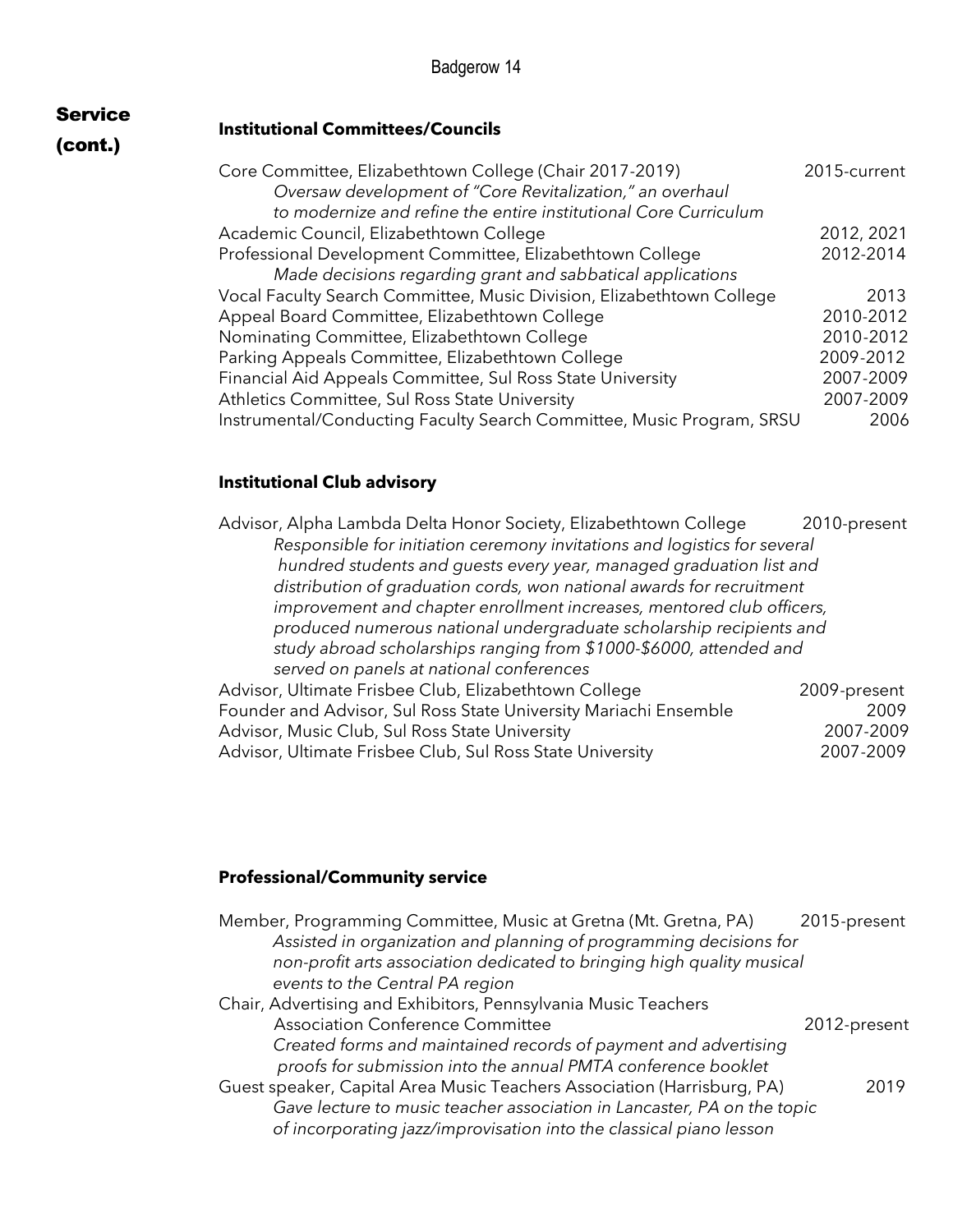#### **Institutional Committees/Councils**

## (cont.)

Service

| Core Committee, Elizabethtown College (Chair 2017-2019)               | 2015-current |
|-----------------------------------------------------------------------|--------------|
| Oversaw development of "Core Revitalization," an overhaul             |              |
| to modernize and refine the entire institutional Core Curriculum      |              |
| Academic Council, Elizabethtown College                               | 2012, 2021   |
| Professional Development Committee, Elizabethtown College             | 2012-2014    |
| Made decisions regarding grant and sabbatical applications            |              |
| Vocal Faculty Search Committee, Music Division, Elizabethtown College | 2013         |
| Appeal Board Committee, Elizabethtown College                         | 2010-2012    |
| Nominating Committee, Elizabethtown College                           | 2010-2012    |
| Parking Appeals Committee, Elizabethtown College                      | 2009-2012    |
| Financial Aid Appeals Committee, Sul Ross State University            | 2007-2009    |
| Athletics Committee, Sul Ross State University                        | 2007-2009    |
| Instrumental/Conducting Faculty Search Committee, Music Program, SRSU | 2006         |

#### **Institutional Club advisory**

| Advisor, Alpha Lambda Delta Honor Society, Elizabethtown College          | 2010-present |
|---------------------------------------------------------------------------|--------------|
| Responsible for initiation ceremony invitations and logistics for several |              |
| hundred students and guests every year, managed graduation list and       |              |
| distribution of graduation cords, won national awards for recruitment     |              |
| improvement and chapter enrollment increases, mentored club officers,     |              |
| produced numerous national undergraduate scholarship recipients and       |              |
| study abroad scholarships ranging from \$1000-\$6000, attended and        |              |
| served on panels at national conferences                                  |              |
| Advisor, Ultimate Frisbee Club, Elizabethtown College                     | 2009-present |
| Founder and Advisor, Sul Ross State University Mariachi Ensemble          | 2009         |
| Advisor, Music Club, Sul Ross State University                            | 2007-2009    |
| Advisor, Ultimate Frisbee Club, Sul Ross State University                 | 2007-2009    |

## **Professional/Community service**

| Member, Programming Committee, Music at Gretna (Mt. Gretna, PA)<br>Assisted in organization and planning of programming decisions for<br>non-profit arts association dedicated to bringing high quality musical<br>events to the Central PA region | 2015-present |
|----------------------------------------------------------------------------------------------------------------------------------------------------------------------------------------------------------------------------------------------------|--------------|
| Chair, Advertising and Exhibitors, Pennsylvania Music Teachers<br><b>Association Conference Committee</b>                                                                                                                                          | 2012-present |
| Created forms and maintained records of payment and advertising<br>proofs for submission into the annual PMTA conference booklet                                                                                                                   |              |
| Guest speaker, Capital Area Music Teachers Association (Harrisburg, PA)<br>Gave lecture to music teacher association in Lancaster, PA on the topic<br>of incorporating jazz/improvisation into the classical piano lesson                          | 2019         |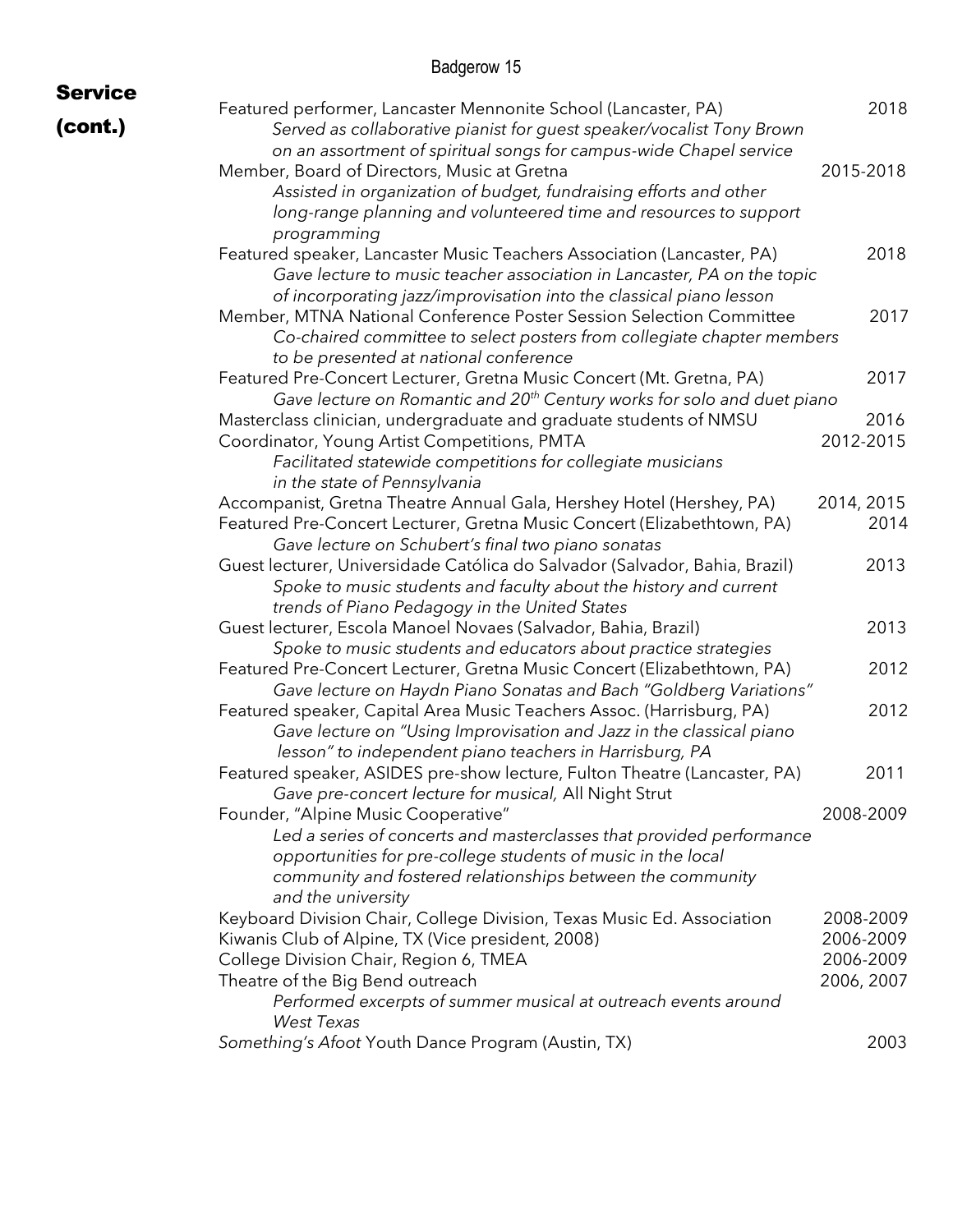| <b>Service</b> |                                                                                                                                                                                                                                                                                                  |                                                   |
|----------------|--------------------------------------------------------------------------------------------------------------------------------------------------------------------------------------------------------------------------------------------------------------------------------------------------|---------------------------------------------------|
| (cont.)        | Featured performer, Lancaster Mennonite School (Lancaster, PA)<br>Served as collaborative pianist for guest speaker/vocalist Tony Brown<br>on an assortment of spiritual songs for campus-wide Chapel service                                                                                    | 2018                                              |
|                | Member, Board of Directors, Music at Gretna<br>Assisted in organization of budget, fundraising efforts and other<br>long-range planning and volunteered time and resources to support<br>programming                                                                                             | 2015-2018                                         |
|                | Featured speaker, Lancaster Music Teachers Association (Lancaster, PA)<br>Gave lecture to music teacher association in Lancaster, PA on the topic<br>of incorporating jazz/improvisation into the classical piano lesson                                                                         | 2018                                              |
|                | Member, MTNA National Conference Poster Session Selection Committee<br>Co-chaired committee to select posters from collegiate chapter members<br>to be presented at national conference                                                                                                          | 2017                                              |
|                | Featured Pre-Concert Lecturer, Gretna Music Concert (Mt. Gretna, PA)<br>Gave lecture on Romantic and 20 <sup>th</sup> Century works for solo and duet piano                                                                                                                                      | 2017                                              |
|                | Masterclass clinician, undergraduate and graduate students of NMSU<br>Coordinator, Young Artist Competitions, PMTA<br>Facilitated statewide competitions for collegiate musicians<br>in the state of Pennsylvania                                                                                | 2016<br>2012-2015                                 |
|                | Accompanist, Gretna Theatre Annual Gala, Hershey Hotel (Hershey, PA)<br>Featured Pre-Concert Lecturer, Gretna Music Concert (Elizabethtown, PA)<br>Gave lecture on Schubert's final two piano sonatas                                                                                            | 2014, 2015<br>2014                                |
|                | Guest lecturer, Universidade Católica do Salvador (Salvador, Bahia, Brazil)<br>Spoke to music students and faculty about the history and current<br>trends of Piano Pedagogy in the United States                                                                                                | 2013                                              |
|                | Guest lecturer, Escola Manoel Novaes (Salvador, Bahia, Brazil)<br>Spoke to music students and educators about practice strategies                                                                                                                                                                | 2013                                              |
|                | Featured Pre-Concert Lecturer, Gretna Music Concert (Elizabethtown, PA)<br>Gave lecture on Haydn Piano Sonatas and Bach "Goldberg Variations"                                                                                                                                                    | 2012                                              |
|                | Featured speaker, Capital Area Music Teachers Assoc. (Harrisburg, PA)<br>Gave lecture on "Using Improvisation and Jazz in the classical piano<br>lesson" to independent piano teachers in Harrisburg, PA                                                                                         | 2012                                              |
|                | Featured speaker, ASIDES pre-show lecture, Fulton Theatre (Lancaster, PA)<br>Gave pre-concert lecture for musical, All Night Strut                                                                                                                                                               | 2011                                              |
|                | Founder, "Alpine Music Cooperative"<br>Led a series of concerts and masterclasses that provided performance<br>opportunities for pre-college students of music in the local<br>community and fostered relationships between the community<br>and the university                                  | 2008-2009                                         |
|                | Keyboard Division Chair, College Division, Texas Music Ed. Association<br>Kiwanis Club of Alpine, TX (Vice president, 2008)<br>College Division Chair, Region 6, TMEA<br>Theatre of the Big Bend outreach<br>Performed excerpts of summer musical at outreach events around<br><b>West Texas</b> | 2008-2009<br>2006-2009<br>2006-2009<br>2006, 2007 |
|                | Something's Afoot Youth Dance Program (Austin, TX)                                                                                                                                                                                                                                               | 2003                                              |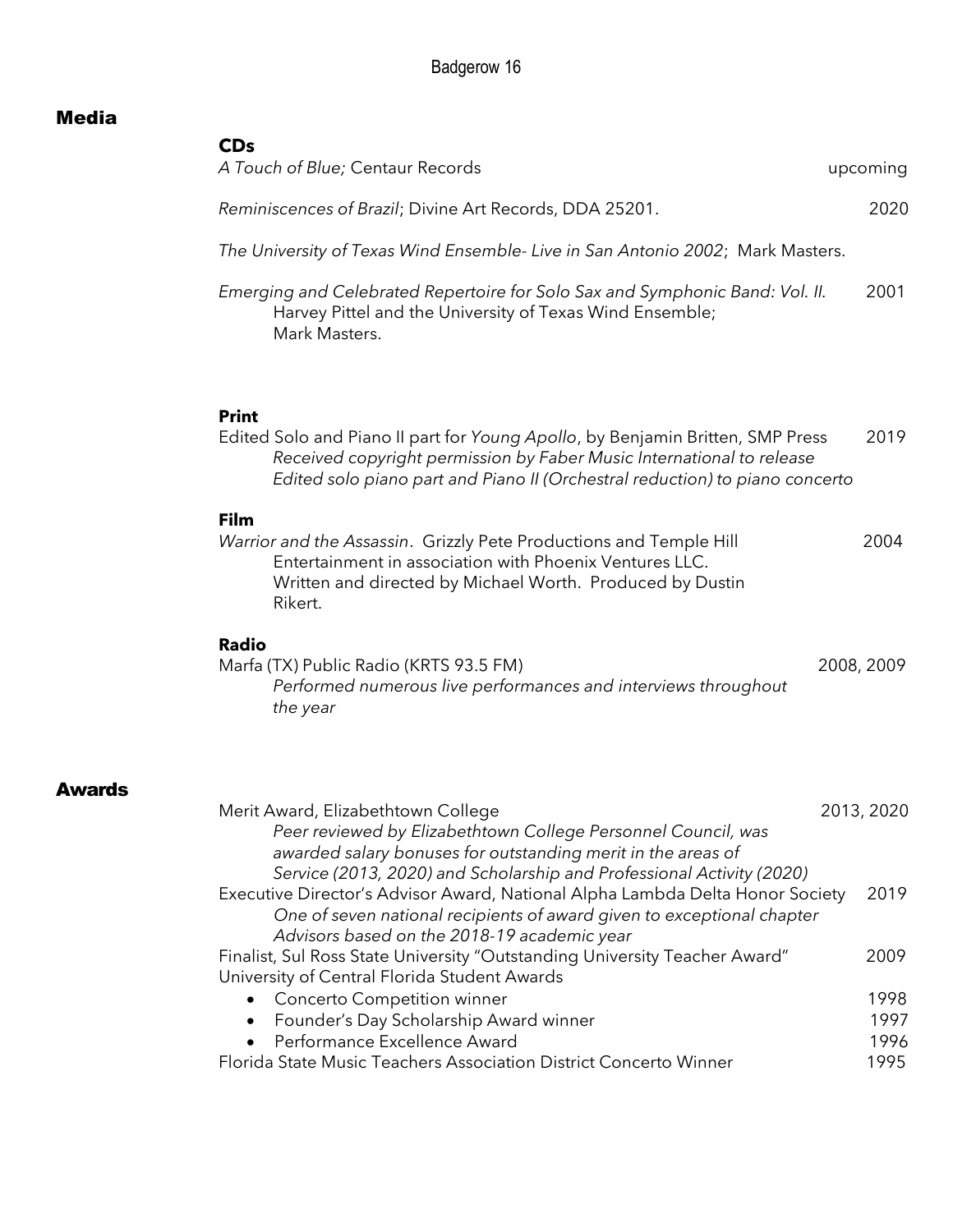### Media

Awards

| <b>CDs</b><br>A Touch of Blue; Centaur Records                                                                                                                                                                                                          | upcoming                     |
|---------------------------------------------------------------------------------------------------------------------------------------------------------------------------------------------------------------------------------------------------------|------------------------------|
| Reminiscences of Brazil; Divine Art Records, DDA 25201.                                                                                                                                                                                                 | 2020                         |
| The University of Texas Wind Ensemble- Live in San Antonio 2002; Mark Masters.                                                                                                                                                                          |                              |
| Emerging and Celebrated Repertoire for Solo Sax and Symphonic Band: Vol. II.<br>Harvey Pittel and the University of Texas Wind Ensemble;<br>Mark Masters.                                                                                               | 2001                         |
| <b>Print</b><br>Edited Solo and Piano II part for Young Apollo, by Benjamin Britten, SMP Press<br>Received copyright permission by Faber Music International to release<br>Edited solo piano part and Piano II (Orchestral reduction) to piano concerto | 2019                         |
| Film<br>Warrior and the Assassin. Grizzly Pete Productions and Temple Hill<br>Entertainment in association with Phoenix Ventures LLC.<br>Written and directed by Michael Worth. Produced by Dustin<br>Rikert.                                           | 2004                         |
| <b>Radio</b>                                                                                                                                                                                                                                            |                              |
| Marfa (TX) Public Radio (KRTS 93.5 FM)<br>Performed numerous live performances and interviews throughout<br>the year                                                                                                                                    | 2008, 2009                   |
| Merit Award, Elizabethtown College<br>Peer reviewed by Elizabethtown College Personnel Council, was                                                                                                                                                     | 2013, 2020                   |
| awarded salary bonuses for outstanding merit in the areas of<br>Service (2013, 2020) and Scholarship and Professional Activity (2020)                                                                                                                   | 2019                         |
| Executive Director's Advisor Award, National Alpha Lambda Delta Honor Society<br>One of seven national recipients of award given to exceptional chapter                                                                                                 |                              |
| Advisors based on the 2018-19 academic year<br>Finalist, Sul Ross State University "Outstanding University Teacher Award"                                                                                                                               |                              |
| University of Central Florida Student Awards<br>Concerto Competition winner                                                                                                                                                                             |                              |
| Founder's Day Scholarship Award winner<br>Performance Excellence Award<br>$\bullet$                                                                                                                                                                     | 2009<br>1998<br>1997<br>1996 |